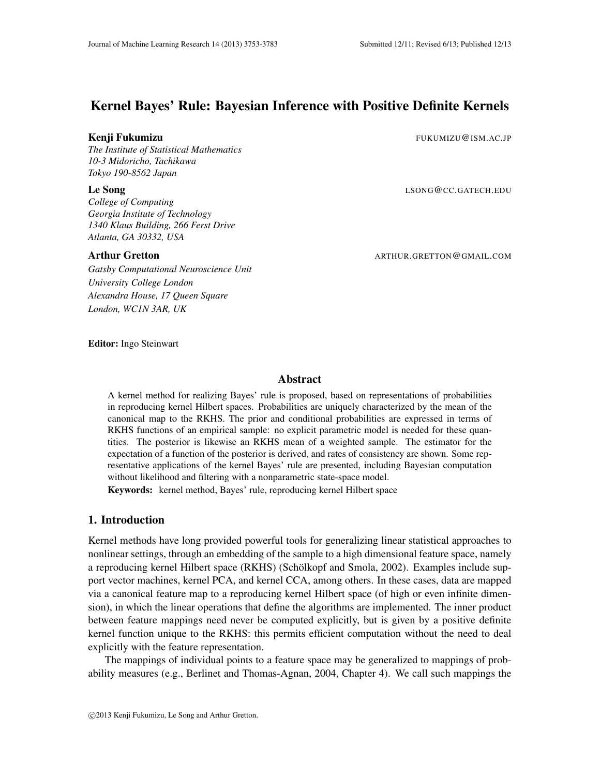# Kernel Bayes' Rule: Bayesian Inference with Positive Definite Kernels

*The Institute of Statistical Mathematics 10-3 Midoricho, Tachikawa Tokyo 190-8562 Japan*

*College of Computing Georgia Institute of Technology 1340 Klaus Building, 266 Ferst Drive Atlanta, GA 30332, USA*

*Gatsby Computational Neuroscience Unit University College London Alexandra House, 17 Queen Square London, WC1N 3AR, UK*

**Kenji Fukumizu** FUKUMIZU@ISM.AC.JP

**Le Song** LSONG@CC.GATECH.EDU

Arthur Gretton ARTHUR.GRETTON @GMAIL.COM

Editor: Ingo Steinwart

# Abstract

A kernel method for realizing Bayes' rule is proposed, based on representations of probabilities in reproducing kernel Hilbert spaces. Probabilities are uniquely characterized by the mean of the canonical map to the RKHS. The prior and conditional probabilities are expressed in terms of RKHS functions of an empirical sample: no explicit parametric model is needed for these quantities. The posterior is likewise an RKHS mean of a weighted sample. The estimator for the expectation of a function of the posterior is derived, and rates of consistency are shown. Some representative applications of the kernel Bayes' rule are presented, including Bayesian computation without likelihood and filtering with a nonparametric state-space model.

Keywords: kernel method, Bayes' rule, reproducing kernel Hilbert space

# 1. Introduction

Kernel methods have long provided powerful tools for generalizing linear statistical approaches to nonlinear settings, through an embedding of the sample to a high dimensional feature space, namely a reproducing kernel Hilbert space (RKHS) (Schölkopf and Smola, 2002). Examples include support vector machines, kernel PCA, and kernel CCA, among others. In these cases, data are mapped via a canonical feature map to a reproducing kernel Hilbert space (of high or even infinite dimension), in which the linear operations that define the algorithms are implemented. The inner product between feature mappings need never be computed explicitly, but is given by a positive definite kernel function unique to the RKHS: this permits efficient computation without the need to deal explicitly with the feature representation.

The mappings of individual points to a feature space may be generalized to mappings of probability measures (e.g., Berlinet and Thomas-Agnan, 2004, Chapter 4). We call such mappings the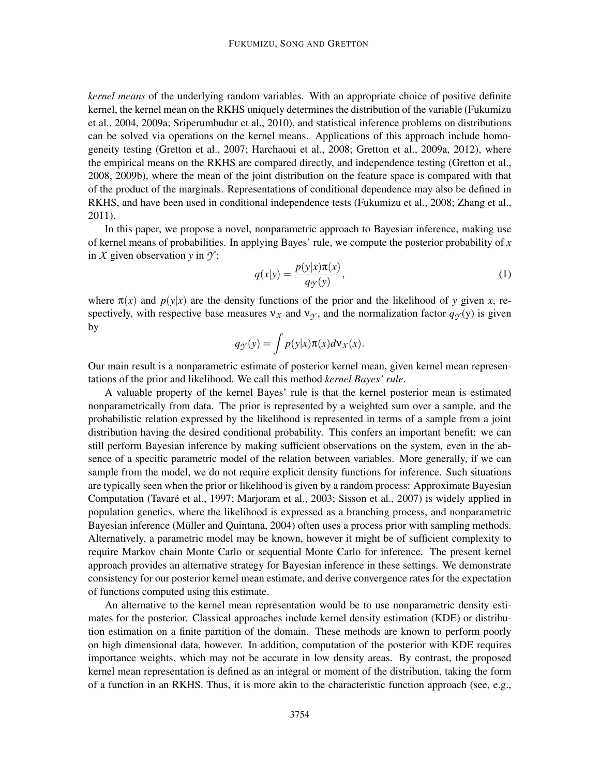*kernel means* of the underlying random variables. With an appropriate choice of positive definite kernel, the kernel mean on the RKHS uniquely determines the distribution of the variable (Fukumizu et al., 2004, 2009a; Sriperumbudur et al., 2010), and statistical inference problems on distributions can be solved via operations on the kernel means. Applications of this approach include homogeneity testing (Gretton et al., 2007; Harchaoui et al., 2008; Gretton et al., 2009a, 2012), where the empirical means on the RKHS are compared directly, and independence testing (Gretton et al., 2008, 2009b), where the mean of the joint distribution on the feature space is compared with that of the product of the marginals. Representations of conditional dependence may also be defined in RKHS, and have been used in conditional independence tests (Fukumizu et al., 2008; Zhang et al., 2011).

In this paper, we propose a novel, nonparametric approach to Bayesian inference, making use of kernel means of probabilities. In applying Bayes' rule, we compute the posterior probability of *x* in  $X$  given observation  $y$  in  $\mathcal{Y}$ ;

$$
q(x|y) = \frac{p(y|x)\pi(x)}{q_{\mathcal{Y}}(y)},
$$
\n(1)

where  $\pi(x)$  and  $p(y|x)$  are the density functions of the prior and the likelihood of *y* given *x*, respectively, with respective base measures  $v_x$  and  $v_y$ , and the normalization factor  $q_y(y)$  is given by

$$
q_{\mathcal{Y}}(y) = \int p(y|x) \pi(x) d\mathsf{v}_X(x).
$$

Our main result is a nonparametric estimate of posterior kernel mean, given kernel mean representations of the prior and likelihood. We call this method *kernel Bayes' rule*.

A valuable property of the kernel Bayes' rule is that the kernel posterior mean is estimated nonparametrically from data. The prior is represented by a weighted sum over a sample, and the probabilistic relation expressed by the likelihood is represented in terms of a sample from a joint distribution having the desired conditional probability. This confers an important benefit: we can still perform Bayesian inference by making sufficient observations on the system, even in the absence of a specific parametric model of the relation between variables. More generally, if we can sample from the model, we do not require explicit density functions for inference. Such situations are typically seen when the prior or likelihood is given by a random process: Approximate Bayesian Computation (Tavare et al., 1997; Marjoram et al., 2003; Sisson et al., 2007) is widely applied in ´ population genetics, where the likelihood is expressed as a branching process, and nonparametric Bayesian inference (Müller and Quintana, 2004) often uses a process prior with sampling methods. Alternatively, a parametric model may be known, however it might be of sufficient complexity to require Markov chain Monte Carlo or sequential Monte Carlo for inference. The present kernel approach provides an alternative strategy for Bayesian inference in these settings. We demonstrate consistency for our posterior kernel mean estimate, and derive convergence rates for the expectation of functions computed using this estimate.

An alternative to the kernel mean representation would be to use nonparametric density estimates for the posterior. Classical approaches include kernel density estimation (KDE) or distribution estimation on a finite partition of the domain. These methods are known to perform poorly on high dimensional data, however. In addition, computation of the posterior with KDE requires importance weights, which may not be accurate in low density areas. By contrast, the proposed kernel mean representation is defined as an integral or moment of the distribution, taking the form of a function in an RKHS. Thus, it is more akin to the characteristic function approach (see, e.g.,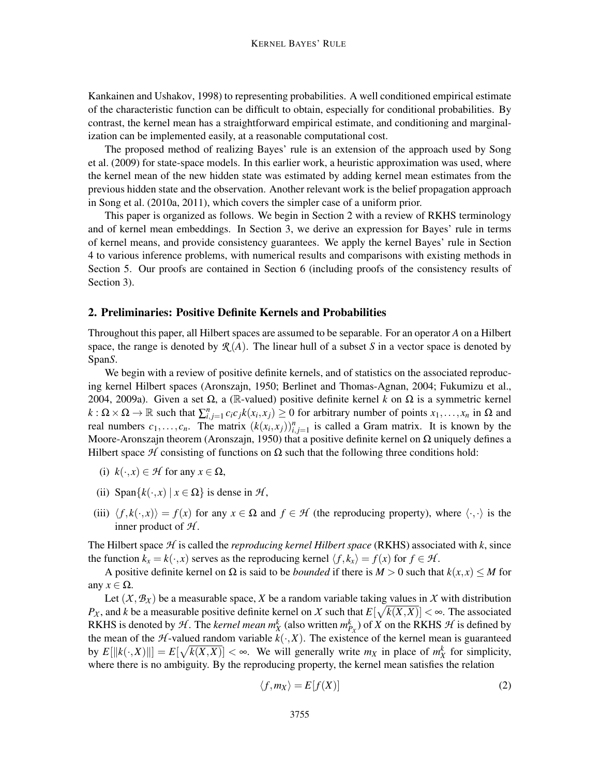Kankainen and Ushakov, 1998) to representing probabilities. A well conditioned empirical estimate of the characteristic function can be difficult to obtain, especially for conditional probabilities. By contrast, the kernel mean has a straightforward empirical estimate, and conditioning and marginalization can be implemented easily, at a reasonable computational cost.

The proposed method of realizing Bayes' rule is an extension of the approach used by Song et al. (2009) for state-space models. In this earlier work, a heuristic approximation was used, where the kernel mean of the new hidden state was estimated by adding kernel mean estimates from the previous hidden state and the observation. Another relevant work is the belief propagation approach in Song et al. (2010a, 2011), which covers the simpler case of a uniform prior.

This paper is organized as follows. We begin in Section 2 with a review of RKHS terminology and of kernel mean embeddings. In Section 3, we derive an expression for Bayes' rule in terms of kernel means, and provide consistency guarantees. We apply the kernel Bayes' rule in Section 4 to various inference problems, with numerical results and comparisons with existing methods in Section 5. Our proofs are contained in Section 6 (including proofs of the consistency results of Section 3).

#### 2. Preliminaries: Positive Definite Kernels and Probabilities

Throughout this paper, all Hilbert spaces are assumed to be separable. For an operator *A* on a Hilbert space, the range is denoted by  $\mathcal{R}(A)$ . The linear hull of a subset *S* in a vector space is denoted by Span*S*.

We begin with a review of positive definite kernels, and of statistics on the associated reproducing kernel Hilbert spaces (Aronszajn, 1950; Berlinet and Thomas-Agnan, 2004; Fukumizu et al., 2004, 2009a). Given a set Ω, a (R-valued) positive definite kernel *k* on Ω is a symmetric kernel  $k: \Omega \times \Omega \to \mathbb{R}$  such that  $\sum_{i,j=1}^{n} c_i c_j k(x_i, x_j) \geq 0$  for arbitrary number of points  $x_1, \ldots, x_n$  in  $\Omega$  and real numbers  $c_1, \ldots, c_n$ . The matrix  $(k(x_i, x_j))_{i,j=1}^n$  is called a Gram matrix. It is known by the Moore-Aronszajn theorem (Aronszajn, 1950) that a positive definite kernel on  $\Omega$  uniquely defines a Hilbert space  $H$  consisting of functions on  $\Omega$  such that the following three conditions hold:

- (i)  $k(\cdot, x) \in \mathcal{H}$  for any  $x \in \Omega$ ,
- (ii) Span $\{k(\cdot, x) \mid x \in \Omega\}$  is dense in  $\mathcal{H}$ ,
- (iii)  $\langle f, k(\cdot, x) \rangle = f(x)$  for any  $x \in \Omega$  and  $f \in \mathcal{H}$  (the reproducing property), where  $\langle \cdot, \cdot \rangle$  is the inner product of *H* .

The Hilbert space *H* is called the *reproducing kernel Hilbert space* (RKHS) associated with *k*, since the function  $k_x = k(\cdot, x)$  serves as the reproducing kernel  $\langle f, k_x \rangle = f(x)$  for  $f \in \mathcal{H}$ .

A positive definite kernel on  $\Omega$  is said to be *bounded* if there is  $M > 0$  such that  $k(x, x) \leq M$  for any  $x \in \Omega$ .

Let  $(X, B_X)$  be a measurable space, *X* be a random variable taking values in *X* with distribution *P<sub>X</sub>*, and *k* be a measurable positive definite kernel on *X* such that  $E[\sqrt{k(X,X)}] < \infty$ . The associated RKHS is denoted by  $H$ . The *kernel mean*  $m_X^k$  (also written  $m_{P_X}^k$ ) of  $X$  on the RKHS  $H$  is defined by the mean of the *H*-valued random variable  $k(\cdot, X)$ . The existence of the kernel mean is guaranteed by  $E[||k(\cdot,X)||] = E[\sqrt{k(X,X)}] < \infty$ . We will generally write  $m_X$  in place of  $m_X^k$  for simplicity, where there is no ambiguity. By the reproducing property, the kernel mean satisfies the relation

$$
\langle f, m_X \rangle = E[f(X)] \tag{2}
$$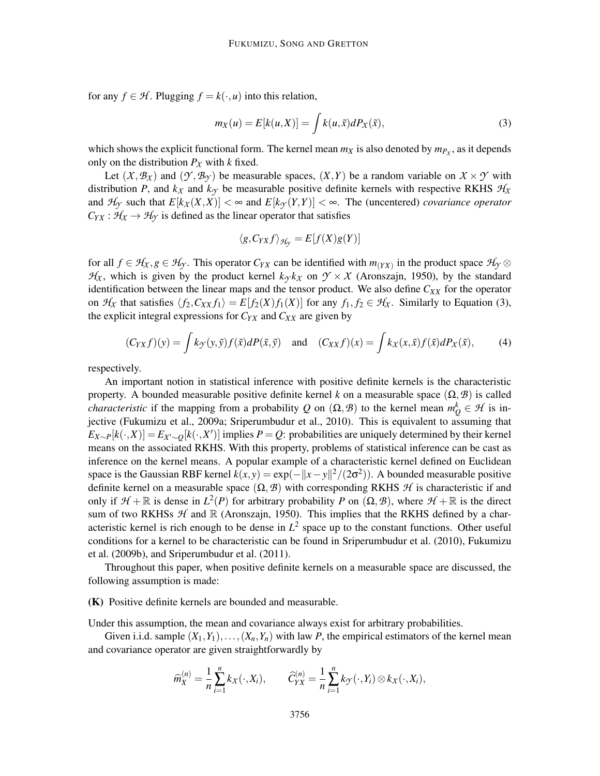for any  $f \in H$ . Plugging  $f = k(\cdot, u)$  into this relation,

$$
m_X(u) = E[k(u, X)] = \int k(u, \tilde{x}) dP_X(\tilde{x}), \qquad (3)
$$

which shows the explicit functional form. The kernel mean  $m_X$  is also denoted by  $m_{P_X}$ , as it depends only on the distribution  $P_X$  with *k* fixed.

Let  $(X, B_X)$  and  $(Y, B_Y)$  be measurable spaces,  $(X, Y)$  be a random variable on  $X \times Y$  with distribution *P*, and  $k<sub>X</sub>$  and  $k<sub>Y</sub>$  be measurable positive definite kernels with respective RKHS  $H_X$ and  $H_Y$  such that  $E[k_X(X,X)] < \infty$  and  $E[k_Y(Y,Y)] < \infty$ . The (uncentered) *covariance operator*  $C_{YX}$ :  $H_X \rightarrow H_Y$  is defined as the linear operator that satisfies

$$
\langle g, C_{YX} f \rangle_{\mathcal{H}_{\mathcal{Y}}} = E[f(X)g(Y)]
$$

for all  $f \in H_X, g \in H_Y$ . This operator  $C_{YX}$  can be identified with  $m_{(YX)}$  in the product space  $H_Y \otimes$  $H_X$ , which is given by the product kernel  $k_\gamma k_\chi$  on  $\gamma \times \chi$  (Aronszajn, 1950), by the standard identification between the linear maps and the tensor product. We also define *CXX* for the operator on  $H_X$  that satisfies  $\langle f_2, C_{XX} f_1 \rangle = E[f_2(X) f_1(X)]$  for any  $f_1, f_2 \in H_X$ . Similarly to Equation (3), the explicit integral expressions for  $C_{YX}$  and  $C_{XX}$  are given by

$$
(C_{YX}f)(y) = \int k_{\mathcal{Y}}(y,\tilde{y})f(\tilde{x})dP(\tilde{x},\tilde{y}) \quad \text{and} \quad (C_{XX}f)(x) = \int k_{X}(x,\tilde{x})f(\tilde{x})dP_{X}(\tilde{x}), \tag{4}
$$

respectively.

An important notion in statistical inference with positive definite kernels is the characteristic property. A bounded measurable positive definite kernel *k* on a measurable space  $(\Omega, \mathcal{B})$  is called *characteristic* if the mapping from a probability *Q* on  $(\Omega, \mathcal{B})$  to the kernel mean  $m_Q^k \in \mathcal{H}$  is injective (Fukumizu et al., 2009a; Sriperumbudur et al., 2010). This is equivalent to assuming that  $E_{X \sim P}[k(\cdot, X)] = E_{X' \sim Q}[k(\cdot, X')]$  implies *P* = *Q*: probabilities are uniquely determined by their kernel means on the associated RKHS. With this property, problems of statistical inference can be cast as inference on the kernel means. A popular example of a characteristic kernel defined on Euclidean space is the Gaussian RBF kernel  $k(x, y) = \exp(-\|x - y\|^2 / (2\sigma^2))$ . A bounded measurable positive definite kernel on a measurable space  $(\Omega, \mathcal{B})$  with corresponding RKHS  $\mathcal{H}$  is characteristic if and only if  $H + \mathbb{R}$  is dense in  $L^2(P)$  for arbitrary probability *P* on  $(\Omega, \mathcal{B})$ , where  $H + \mathbb{R}$  is the direct sum of two RKHSs  $H$  and  $\mathbb R$  (Aronszajn, 1950). This implies that the RKHS defined by a characteristic kernel is rich enough to be dense in  $L^2$  space up to the constant functions. Other useful conditions for a kernel to be characteristic can be found in Sriperumbudur et al. (2010), Fukumizu et al. (2009b), and Sriperumbudur et al. (2011).

Throughout this paper, when positive definite kernels on a measurable space are discussed, the following assumption is made:

(K) Positive definite kernels are bounded and measurable.

Under this assumption, the mean and covariance always exist for arbitrary probabilities.

Given i.i.d. sample  $(X_1, Y_1), \ldots, (X_n, Y_n)$  with law *P*, the empirical estimators of the kernel mean and covariance operator are given straightforwardly by

$$
\widehat{m}_X^{(n)} = \frac{1}{n} \sum_{i=1}^n k_X(\cdot, X_i), \qquad \widehat{C}_{YX}^{(n)} = \frac{1}{n} \sum_{i=1}^n k_Y(\cdot, Y_i) \otimes k_X(\cdot, X_i),
$$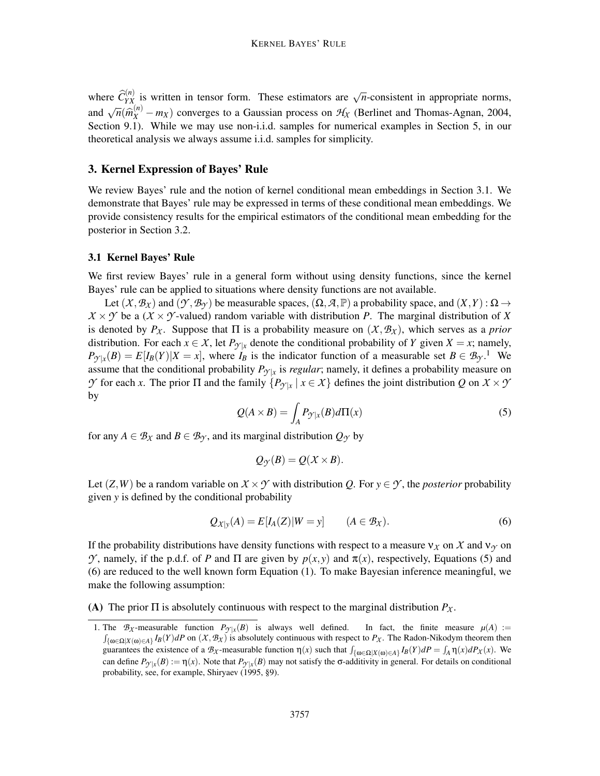where  $\hat{C}_{YX}^{(n)}$  is written in tensor form. These estimators are  $\sqrt{n}$ -consistent in appropriate norms, and  $\sqrt{n}(\hat{m}_X^{(n)} - m_X)$  converges to a Gaussian process on  $H_X$  (Berlinet and Thomas-Agnan, 2004, Section 9.1). While we may use non-i.i.d. samples for numerical examples in Section 5, in our theoretical analysis we always assume i.i.d. samples for simplicity.

#### 3. Kernel Expression of Bayes' Rule

We review Bayes' rule and the notion of kernel conditional mean embeddings in Section 3.1. We demonstrate that Bayes' rule may be expressed in terms of these conditional mean embeddings. We provide consistency results for the empirical estimators of the conditional mean embedding for the posterior in Section 3.2.

#### 3.1 Kernel Bayes' Rule

We first review Bayes' rule in a general form without using density functions, since the kernel Bayes' rule can be applied to situations where density functions are not available.

Let  $(X, B_X)$  and  $(Y, B_Y)$  be measurable spaces,  $(\Omega, A, \mathbb{P})$  a probability space, and  $(X, Y)$  :  $\Omega \rightarrow$  $X \times Y$  be a ( $X \times Y$ -valued) random variable with distribution *P*. The marginal distribution of *X* is denoted by  $P_\chi$ . Suppose that  $\Pi$  is a probability measure on  $(\chi, \mathcal{B}_\chi)$ , which serves as a *prior* distribution. For each  $x \in X$ , let  $P_{\gamma|x}$  denote the conditional probability of *Y* given  $X = x$ ; namely,  $P_{\mathcal{Y}|x}(B) = E[I_B(Y)|X = x]$ , where  $I_B$  is the indicator function of a measurable set  $B \in \mathcal{B}_{\mathcal{Y}}$ .<sup>1</sup> We assume that the conditional probability  $P_{\mathcal{Y}|x}$  is *regular*; namely, it defines a probability measure on *Y* for each *x*. The prior Π and the family  ${P_{\gamma|x \mid x \in X}$  defines the joint distribution *Q* on *X* × *Y* by

$$
Q(A \times B) = \int_{A} P_{\mathcal{Y}|x}(B) d\Pi(x)
$$
\n(5)

for any  $A \in \mathcal{B}_{\chi}$  and  $B \in \mathcal{B}_{\gamma}$ , and its marginal distribution  $Q_{\gamma}$  by

$$
Q_{\mathcal{Y}}(B)=Q(X\times B).
$$

Let  $(Z, W)$  be a random variable on  $X \times Y$  with distribution *Q*. For  $y \in Y$ , the *posterior* probability given *y* is defined by the conditional probability

$$
Q_{X|y}(A) = E[I_A(Z)|W = y] \qquad (A \in \mathcal{B}_X). \tag{6}
$$

If the probability distributions have density functions with respect to a measure  $v_x$  on X and  $v_y$  on *Y*, namely, if the p.d.f. of *P* and Π are given by  $p(x, y)$  and  $π(x)$ , respectively, Equations (5) and (6) are reduced to the well known form Equation (1). To make Bayesian inference meaningful, we make the following assumption:

(A) The prior Π is absolutely continuous with respect to the marginal distribution *PX* .

<sup>1.</sup> The  $B_X$ -measurable function  $P_{\gamma|x}(B)$  is always well defined. In fact, the finite measure  $\mu(A) :=$  $\int_{\{\omega \in \Omega | X(\omega) \in A\}} I_B(Y) dP$  on  $(X, B_X)$  is absolutely continuous with respect to  $P_X$ . The Radon-Nikodym theorem then guarantees the existence of a  $B_X$ -measurable function  $\eta(x)$  such that  $\int_{\{\omega \in \Omega | X(\omega) \in A\}} I_B(Y) dP = \int_A \eta(x) dP_X(x)$ . We can define  $P_{\mathcal{Y}|x}(B) := \eta(x)$ . Note that  $P_{\mathcal{Y}|x}(B)$  may not satisfy the  $\sigma$ -additivity in general. For details on conditional probability, see, for example, Shiryaev (1995, §9).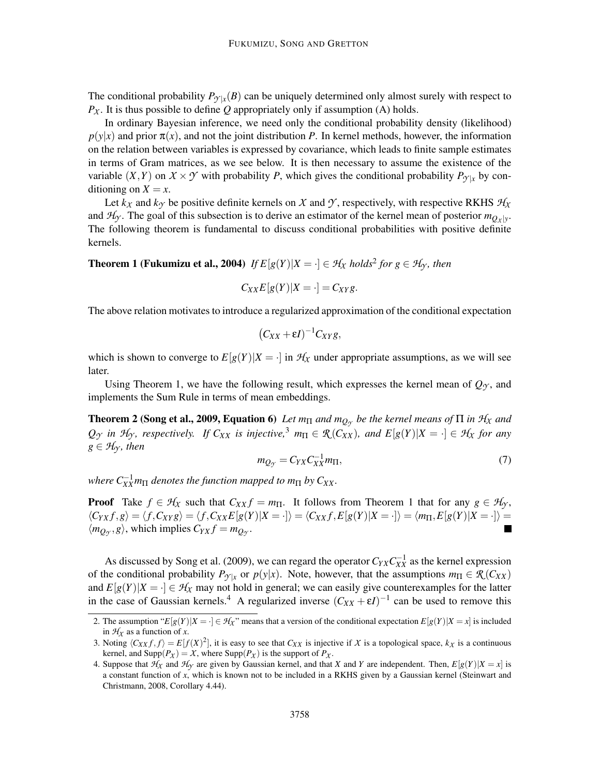The conditional probability  $P_{\mathcal{Y}|x}(B)$  can be uniquely determined only almost surely with respect to  $P_X$ . It is thus possible to define Q appropriately only if assumption (A) holds.

In ordinary Bayesian inference, we need only the conditional probability density (likelihood)  $p(y|x)$  and prior  $\pi(x)$ , and not the joint distribution *P*. In kernel methods, however, the information on the relation between variables is expressed by covariance, which leads to finite sample estimates in terms of Gram matrices, as we see below. It is then necessary to assume the existence of the variable  $(X, Y)$  on  $X \times Y$  with probability *P*, which gives the conditional probability  $P_{Y|x}$  by conditioning on  $X = x$ .

Let  $k_X$  and  $k_Y$  be positive definite kernels on *X* and *Y*, respectively, with respective RKHS  $H_X$ and  $H_Y$ . The goal of this subsection is to derive an estimator of the kernel mean of posterior  $m_{Q_X|y}$ . The following theorem is fundamental to discuss conditional probabilities with positive definite kernels.

**Theorem 1 (Fukumizu et al., 2004)** *If*  $E[g(Y)|X = \cdot] \in H_X$  *holds*<sup>2</sup> *for*  $g \in H_Y$ *, then* 

$$
C_{XX}E[g(Y)|X=\cdot] = C_{XY}g.
$$

The above relation motivates to introduce a regularized approximation of the conditional expectation

$$
(C_{XX}+\varepsilon I)^{-1}C_{XY}g,
$$

which is shown to converge to  $E[g(Y)|X = \cdot]$  in  $H_X$  under appropriate assumptions, as we will see later.

Using Theorem 1, we have the following result, which expresses the kernel mean of  $Q_{\gamma}$ , and implements the Sum Rule in terms of mean embeddings.

**Theorem 2 (Song et al., 2009, Equation 6)** Let  $m_{\Pi}$  and  $m_{Q_{\gamma}}$  be the kernel means of  $\Pi$  in  $\mathcal{H}_\chi$  and  $Q_{\gamma}$  in  $\mathcal{H}_{\gamma}$ , respectively. If  $C_{XX}$  is injective,<sup>3</sup>  $m_{\Pi} \in \mathcal{R}(C_{XX})$ , and  $E[g(Y)|X = \cdot] \in \mathcal{H}_X$  for any  $g \in H_Y$ *, then* 

$$
m_{Q_{\mathcal{Y}}} = C_{YX} C_{XX}^{-1} m_{\Pi},\tag{7}
$$

*where*  $C_{XX}^{-1}$ *m* $\Pi$  *denotes the function mapped to m* $\Pi$  *by*  $C_{XX}$ *.* 

**Proof** Take  $f \in H_X$  such that  $C_{XX} f = m_\Pi$ . It follows from Theorem 1 that for any  $g \in H_Y$ ,  $\langle C_{YX}f,g\rangle = \langle f,C_{XYZ}\rangle = \langle f,C_{XX}E[g(Y)|X=\cdot]\rangle = \langle C_{XX}f,E[g(Y)|X=\cdot]\rangle = \langle m_{\Pi},E[g(Y)|X=\cdot]\rangle =$  $\langle m_{Q_y}, g \rangle$ , which implies  $C_{YX} f = m_{Q_y}$ .

As discussed by Song et al. (2009), we can regard the operator  $C_{YX}C_{XX}^{-1}$  as the kernel expression of the conditional probability  $P_{\gamma|x}$  or  $p(y|x)$ . Note, however, that the assumptions  $m_{\Pi} \in \mathcal{R}(C_{XX})$ and  $E[g(Y)|X = \cdot] \in \mathcal{H}_X$  may not hold in general; we can easily give counterexamples for the latter in the case of Gaussian kernels.<sup>4</sup> A regularized inverse  $(C_{XX} + \varepsilon I)^{-1}$  can be used to remove this

<sup>2.</sup> The assumption " $E[g(Y)|X = \cdot] \in H_X$ " means that a version of the conditional expectation  $E[g(Y)|X = x]$  is included in  $H_X$  as a function of *x*.

<sup>3.</sup> Noting  $\langle C_{XX} f, f \rangle = E[f(X)^2]$ , it is easy to see that  $C_{XX}$  is injective if *X* is a topological space,  $k_X$  is a continuous kernel, and  $\text{Supp}(P_X) = X$ , where  $\text{Supp}(P_X)$  is the support of  $P_X$ .

<sup>4.</sup> Suppose that  $H_X$  and  $H_Y$  are given by Gaussian kernel, and that *X* and *Y* are independent. Then,  $E[g(Y)|X=x]$  is a constant function of *x*, which is known not to be included in a RKHS given by a Gaussian kernel (Steinwart and Christmann, 2008, Corollary 4.44).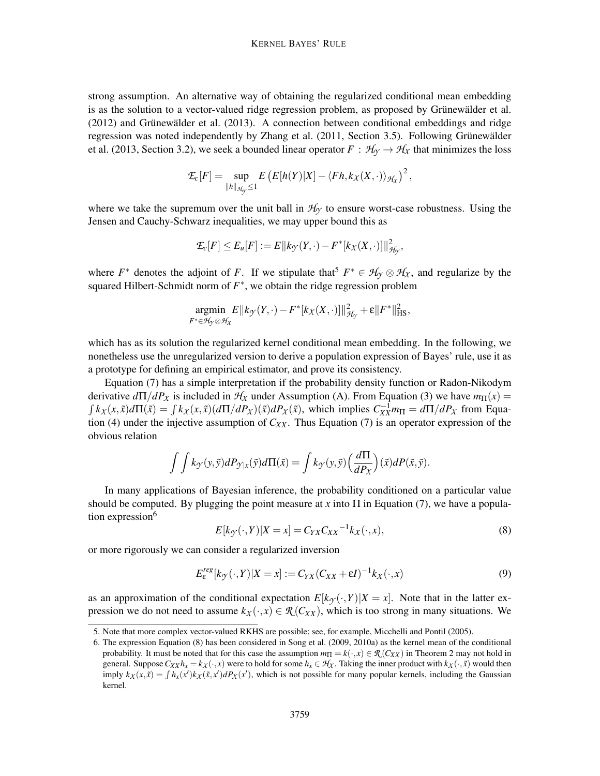strong assumption. An alternative way of obtaining the regularized conditional mean embedding is as the solution to a vector-valued ridge regression problem, as proposed by Grünewälder et al.  $(2012)$  and Grünewälder et al.  $(2013)$ . A connection between conditional embeddings and ridge regression was noted independently by Zhang et al. (2011, Section 3.5). Following Grünewälder et al. (2013, Section 3.2), we seek a bounded linear operator  $F : \mathcal{H}_{\gamma} \to \mathcal{H}_{\chi}$  that minimizes the loss

$$
\mathcal{E}_c[F] = \sup_{\|h\|_{\mathcal{H}_\mathcal{Y}} \leq 1} E\left(E[h(Y)|X] - \langle Fh, k_X(X, \cdot) \rangle_{\mathcal{H}_X}\right)^2,
$$

where we take the supremum over the unit ball in  $H<sub>Y</sub>$  to ensure worst-case robustness. Using the Jensen and Cauchy-Schwarz inequalities, we may upper bound this as

$$
\mathcal{I}_c[F] \le E_u[F] := E\|k_{\mathcal{Y}}(Y,\cdot) - F^*[k_X(X,\cdot)]\|_{\mathcal{H}_{\mathcal{Y}}}^2,
$$

where  $F^*$  denotes the adjoint of *F*. If we stipulate that<sup>5</sup>  $F^* \in \mathcal{H}_{\gamma} \otimes \mathcal{H}_{\chi}$ , and regularize by the squared Hilbert-Schmidt norm of *F* ∗ , we obtain the ridge regression problem

$$
\underset{F^* \in \mathcal{H}_{\mathcal{Y}} \otimes \mathcal{H}_{X}}{\text{argmin}} E\|k_{\mathcal{Y}}(Y,\cdot) - F^*[k_{X}(X,\cdot)]\|_{\mathcal{H}_{\mathcal{Y}}}^2 + \varepsilon \|F^*\|_{\text{HS}}^2,
$$

which has as its solution the regularized kernel conditional mean embedding. In the following, we nonetheless use the unregularized version to derive a population expression of Bayes' rule, use it as a prototype for defining an empirical estimator, and prove its consistency.

Equation (7) has a simple interpretation if the probability density function or Radon-Nikodym derivative  $d\Pi/dP_X$  is included in  $H_X$  under Assumption (A). From Equation (3) we have  $m_{\Pi}(x)$  =  $\int k_X(x,\tilde{x})d\Pi(\tilde{x}) = \int k_X(x,\tilde{x})\left(d\Pi/dP_X(\tilde{x})\right)dP_X(\tilde{x})$ , which implies  $C^{-1}_{XX}m_{\Pi} = d\Pi/dP_X$  from Equation (4) under the injective assumption of  $C_{XX}$ . Thus Equation (7) is an operator expression of the obvious relation

$$
\int \int k_{\mathcal{Y}}(y,\tilde{y})dP_{\mathcal{Y}|x}(\tilde{y})d\Pi(\tilde{x}) = \int k_{\mathcal{Y}}(y,\tilde{y})\left(\frac{d\Pi}{dP_X}\right)(\tilde{x})dP(\tilde{x},\tilde{y}).
$$

In many applications of Bayesian inference, the probability conditioned on a particular value should be computed. By plugging the point measure at *x* into  $\Pi$  in Equation (7), we have a population expression<sup>6</sup>

$$
E[k_{\mathcal{Y}}(\cdot, Y)|X = x] = C_{YX} C_{XX}^{-1} k_X(\cdot, x), \qquad (8)
$$

or more rigorously we can consider a regularized inversion

$$
E_{\varepsilon}^{reg}[k_{\mathcal{Y}}(\cdot,Y)|X=x] := C_{YX}(C_{XX} + \varepsilon I)^{-1}k_{X}(\cdot,x)
$$
\n(9)

as an approximation of the conditional expectation  $E[k_{\gamma}(\cdot, Y)|X = x]$ . Note that in the latter expression we do not need to assume  $k_X(\cdot, x) \in \mathcal{R}(C_{XX})$ , which is too strong in many situations. We

<sup>5.</sup> Note that more complex vector-valued RKHS are possible; see, for example, Micchelli and Pontil (2005).

<sup>6.</sup> The expression Equation (8) has been considered in Song et al. (2009, 2010a) as the kernel mean of the conditional probability. It must be noted that for this case the assumption  $m_{\Pi} = k(\cdot, x) \in \mathcal{R}(C_{XX})$  in Theorem 2 may not hold in general. Suppose  $C_{XX}h_x = k_X(\cdot, x)$  were to hold for some  $h_x \in \mathcal{H}_X$ . Taking the inner product with  $k_X(\cdot, \tilde{x})$  would then imply  $k_X(x, \tilde{x}) = \int h_x(x')k_X(\tilde{x}, x')dP_X(x')$ , which is not possible for many popular kernels, including the Gaussian kernel.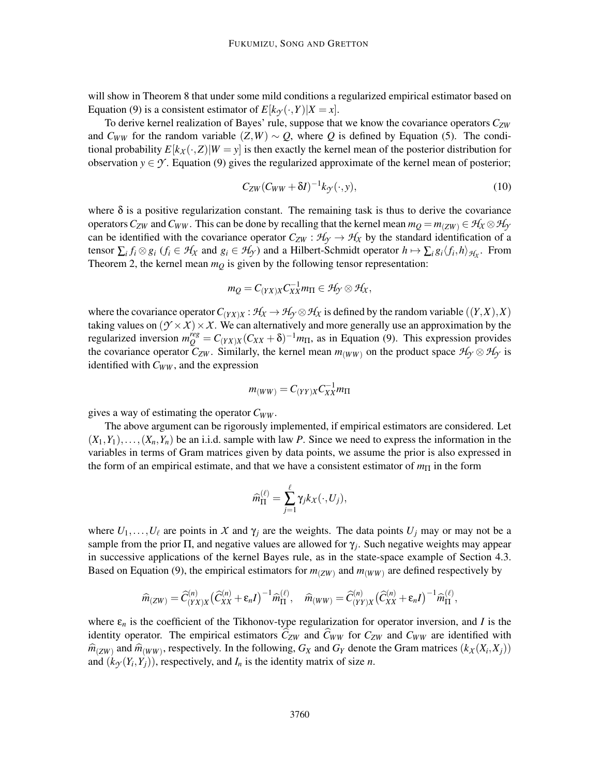will show in Theorem 8 that under some mild conditions a regularized empirical estimator based on Equation (9) is a consistent estimator of  $E[k_{\gamma}(\cdot, Y)|X = x]$ .

To derive kernel realization of Bayes' rule, suppose that we know the covariance operators *CZW* and  $C_{WW}$  for the random variable  $(Z, W) \sim Q$ , where Q is defined by Equation (5). The conditional probability  $E[k_X(\cdot, Z)|W = y]$  is then exactly the kernel mean of the posterior distribution for observation  $y \in \mathcal{Y}$ . Equation (9) gives the regularized approximate of the kernel mean of posterior;

$$
C_{ZW}(C_{WW} + \delta I)^{-1} k_{\mathcal{Y}}(\cdot, y), \qquad (10)
$$

where  $\delta$  is a positive regularization constant. The remaining task is thus to derive the covariance operators  $C_{ZW}$  and  $C_{WW}$ . This can be done by recalling that the kernel mean  $m_O = m_{(ZW)} \in H_X \otimes H_Y$ can be identified with the covariance operator  $C_{ZW}$  :  $\mathcal{H}_{\gamma} \to \mathcal{H}_{\chi}$  by the standard identification of a tensor  $\sum_i f_i \otimes g_i$  ( $f_i \in H_X$  and  $g_i \in H_Y$ ) and a Hilbert-Schmidt operator  $h \mapsto \sum_i g_i \langle f_i, h \rangle_{H_X}$ . From Theorem 2, the kernel mean  $m_Q$  is given by the following tensor representation:

$$
m_Q=C_{(YX)X}C_{XX}^{-1}m_{\Pi}\in \mathcal{H}_{\mathcal{Y}}\otimes \mathcal{H}_{X},
$$

where the covariance operator  $C_{(YX)X}$ :  $H_X \to H_Y \otimes H_X$  is defined by the random variable  $((Y,X),X)$ taking values on  $(\mathcal{Y} \times \mathcal{X}) \times \mathcal{X}$ . We can alternatively and more generally use an approximation by the regularized inversion  $m_Q^{reg} = C_{(YX)X}(C_{XX} + \delta)^{-1}m_{\Pi}$ , as in Equation (9). This expression provides the covariance operator  $\tilde{C}_{ZW}$ . Similarly, the kernel mean  $m_{(WW)}$  on the product space  $\mathcal{H}_{\gamma} \otimes \mathcal{H}_{\gamma}$  is identified with *CWW* , and the expression

$$
m_{(WW)}=C_{(YY)X}C^{-1}_{XX}m_{\Pi}
$$

gives a way of estimating the operator *CWW* .

The above argument can be rigorously implemented, if empirical estimators are considered. Let  $(X_1, Y_1), \ldots, (X_n, Y_n)$  be an i.i.d. sample with law *P*. Since we need to express the information in the variables in terms of Gram matrices given by data points, we assume the prior is also expressed in the form of an empirical estimate, and that we have a consistent estimator of  $m_{\Pi}$  in the form

$$
\widehat{m}_{\Pi}^{(\ell)} = \sum_{j=1}^{\ell} \gamma_j k_X(\cdot, U_j),
$$

where  $U_1, \ldots, U_\ell$  are points in X and  $\gamma_i$  are the weights. The data points  $U_i$  may or may not be a sample from the prior  $\Pi$ , and negative values are allowed for  $\gamma_j$ . Such negative weights may appear in successive applications of the kernel Bayes rule, as in the state-space example of Section 4.3. Based on Equation (9), the empirical estimators for  $m_{(ZW)}$  and  $m_{(WW)}$  are defined respectively by

$$
\widehat{m}_{(ZW)} = \widehat{C}_{(YX)X}^{(n)} \left( \widehat{C}_{XX}^{(n)} + \varepsilon_n I \right)^{-1} \widehat{m}_{\Pi}^{(\ell)}, \quad \widehat{m}_{(WW)} = \widehat{C}_{(YY)X}^{(n)} \left( \widehat{C}_{XX}^{(n)} + \varepsilon_n I \right)^{-1} \widehat{m}_{\Pi}^{(\ell)},
$$

where  $\varepsilon_n$  is the coefficient of the Tikhonov-type regularization for operator inversion, and *I* is the identity operator. The empirical estimators  $C_{ZW}$  and  $C_{WW}$  for  $C_{ZW}$  and  $C_{WW}$  are identified with  $\hat{m}_{(ZW)}$  and  $\hat{m}_{(WW)}$ , respectively. In the following,  $G_X$  and  $G_Y$  denote the Gram matrices  $(k_X(X_i, X_j))$ and  $(k_{\mathcal{Y}}(Y_i, Y_j))$ , respectively, and  $I_n$  is the identity matrix of size *n*.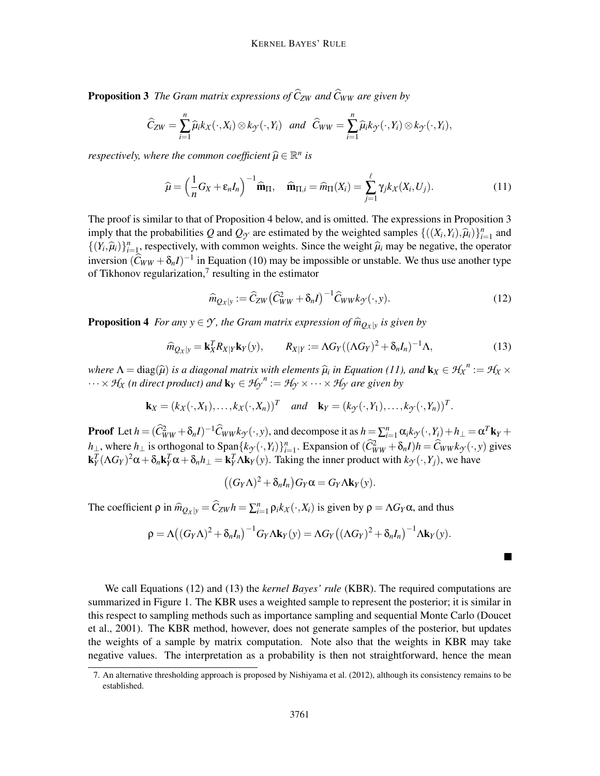**Proposition 3** *The Gram matrix expressions of*  $\hat{C}_{ZW}$  *and*  $\hat{C}_{WW}$  *are given by* 

$$
\widehat{C}_{ZW}=\sum_{i=1}^n\widehat{\mu}_ik_X(\cdot,X_i)\otimes k_{\mathcal{Y}}(\cdot,Y_i) \text{ and } \widehat{C}_{WW}=\sum_{i=1}^n\widehat{\mu}_ik_{\mathcal{Y}}(\cdot,Y_i)\otimes k_{\mathcal{Y}}(\cdot,Y_i),
$$

*respectively, where the common coefficient*  $\widehat{\mu} \in \mathbb{R}^n$  *is* 

$$
\widehat{\mu} = \left(\frac{1}{n}G_X + \varepsilon_n I_n\right)^{-1} \widehat{\mathbf{m}}_{\Pi}, \quad \widehat{\mathbf{m}}_{\Pi,i} = \widehat{m}_{\Pi}(X_i) = \sum_{j=1}^{\ell} \gamma_j k_X(X_i, U_j). \tag{11}
$$

The proof is similar to that of Proposition 4 below, and is omitted. The expressions in Proposition 3 imply that the probabilities *Q* and  $Q_{\gamma}$  are estimated by the weighted samples  $\{((X_i, Y_i), \hat{\mu}_i)\}_{i=1}^n$  and  $\{(Y_i, \hat{\mu}_i)\}_{i=1}^n$ , respectively, with common weights. Since the weight  $\hat{\mu}_i$  may be negative, the operator inversion  $(\widehat{C}_{WW} + \delta_n I)^{-1}$  in Equation (10) may be impossible or unstable. We thus use another type of Tikhonov regularization, $<sup>7</sup>$  resulting in the estimator</sup>

$$
\widehat{m}_{Q_X|y} := \widehat{C}_{ZW} \left( \widehat{C}_{WW}^2 + \delta_n I \right)^{-1} \widehat{C}_{WW} k_{\mathcal{Y}}(\cdot, y). \tag{12}
$$

**Proposition 4** For any  $y \in \mathcal{Y}$ , the Gram matrix expression of  $\widehat{m}_{Qx|y}$  is given by

$$
\widehat{m}_{Q_X|y} = \mathbf{k}_X^T R_{X|Y} \mathbf{k}_Y(y), \qquad R_{X|Y} := \Lambda G_Y((\Lambda G_Y)^2 + \delta_n I_n)^{-1} \Lambda,\tag{13}
$$

*where*  $\Lambda = \text{diag}(\widehat{\mu})$  *is a diagonal matrix with elements*  $\widehat{\mu}_i$  *in Equation (11), and*  $\mathbf{k}_X \in \mathcal{H}_X^n := \mathcal{H}_X \times$  $\cdots \times \mathcal{H}_X$  (*n* direct product) and  $\mathbf{k}_Y \in \mathcal{H}_{\mathcal{Y}}^n := \mathcal{H}_{\mathcal{Y}} \times \cdots \times \mathcal{H}_{\mathcal{Y}}$  are given by

$$
\mathbf{k}_X = (k_X(\cdot, X_1), \dots, k_X(\cdot, X_n))^T \quad \text{and} \quad \mathbf{k}_Y = (k_{\mathcal{Y}}(\cdot, Y_1), \dots, k_{\mathcal{Y}}(\cdot, Y_n))^T.
$$

**Proof** Let  $h = (\widehat{C}_{WW}^2 + \delta_n I)^{-1} \widehat{C}_{WW} k_{\mathcal{T}}(\cdot, y)$ , and decompose it as  $h = \sum_{i=1}^n \alpha_i k_{\mathcal{T}}(\cdot, Y_i) + h_{\perp} = \alpha^T \mathbf{k}_Y + \alpha^T \mathbf{k}_Y$  $h_{\perp}$ , where  $h_{\perp}$  is orthogonal to Span $\{k_{\mathcal{F}}(\cdot, Y_i)\}_{i=1}^n$ . Expansion of  $(\widehat{C}_{WW}^2 + \delta_n I)h = \widehat{C}_{WW}k_{\mathcal{F}}(\cdot, y)$  gives  $\mathbf{k}_Y^T (\Lambda G_Y)^2 \alpha + \delta_n \mathbf{k}_Y^T \alpha + \delta_n h_{\perp} = \mathbf{k}_Y^T \Lambda \mathbf{k}_Y(y)$ . Taking the inner product with  $k_{\mathcal{Y}}(\cdot, Y_j)$ , we have

$$
((G_Y\Lambda)^2 + \delta_n I_n)G_Y\alpha = G_Y\Lambda \mathbf{k}_Y(y).
$$

The coefficient  $\rho$  in  $\hat{m}_{Q_X|y} = \hat{C}_{ZW}h = \sum_{i=1}^n \rho_i k_X(\cdot, X_i)$  is given by  $\rho = \Lambda G_Y \alpha$ , and thus

$$
\rho = \Lambda((G_Y\Lambda)^2 + \delta_n I_n)^{-1} G_Y \Lambda \mathbf{k}_Y(y) = \Lambda G_Y((\Lambda G_Y)^2 + \delta_n I_n)^{-1} \Lambda \mathbf{k}_Y(y).
$$

| We call Equations (12) and (13) the <i>kernel Bayes' rule</i> (KBR). The required computations are  |
|-----------------------------------------------------------------------------------------------------|
| summarized in Figure 1. The KBR uses a weighted sample to represent the posterior; it is similar in |
| this respect to sampling methods such as importance sampling and sequential Monte Carlo (Doucet     |
| et al., 2001). The KBR method, however, does not generate samples of the posterior, but updates     |
| the weights of a sample by matrix computation. Note also that the weights in KBR may take           |
| negative values. The interpretation as a probability is then not straightforward, hence the mean    |

<sup>7.</sup> An alternative thresholding approach is proposed by Nishiyama et al. (2012), although its consistency remains to be established.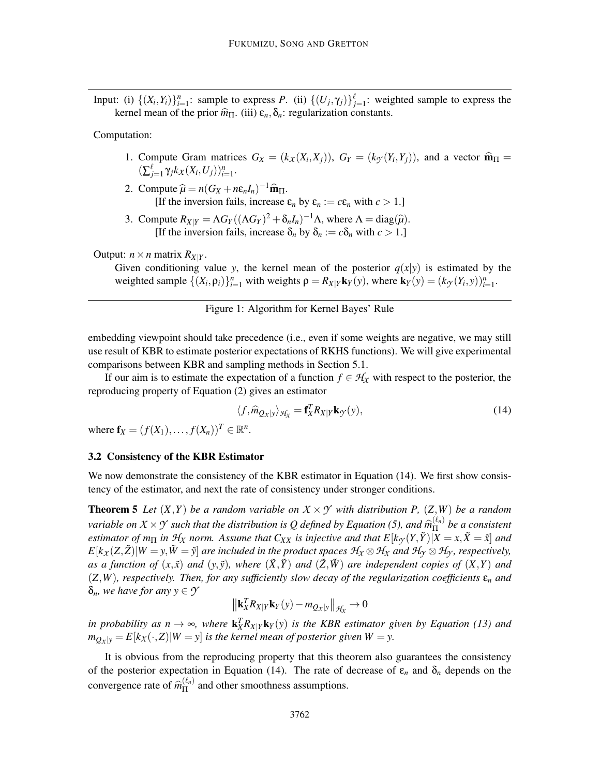Input: (i)  $\{(X_i,Y_i)\}_{i=1}^n$ : sample to express *P*. (ii)  $\{(U_j,\gamma_j)\}_{j=1}^{\ell}$ : weighted sample to express the kernel mean of the prior  $\hat{m}_{\Pi}$ . (iii)  $\varepsilon_n, \delta_n$ : regularization constants.

Computation:

- 1. Compute Gram matrices  $G_X = (k_X(X_i, X_j))$ ,  $G_Y = (k_Y(Y_i, Y_j))$ , and a vector  $\widehat{\mathbf{m}}_{\Pi} =$  $(\sum_{j=1}^{\ell} \gamma_j k_X(X_i, U_j))_{i=1}^n$ .
- 2. Compute  $\hat{\mu} = n(G_X + n\epsilon_n I_n)^{-1} \hat{\mathbf{m}}_{\Pi}$ . [If the inversion fails, increase  $\varepsilon_n$  by  $\varepsilon_n := c \varepsilon_n$  with  $c > 1$ .]
- 3. Compute  $R_{X|Y} = \Lambda G_Y((\Lambda G_Y)^2 + \delta_n I_n)^{-1}\Lambda$ , where  $\Lambda = \text{diag}(\hat{\mu})$ . [If the inversion fails, increase  $\delta_n$  by  $\delta_n := c \delta_n$  with  $c > 1$ .]

### Output:  $n \times n$  matrix  $R_{X|Y}$ .

Given conditioning value *y*, the kernel mean of the posterior  $q(x|y)$  is estimated by the weighted sample  $\{(X_i, \rho_i)\}_{i=1}^n$  with weights  $\rho = R_{X|Y} \mathbf{k}_Y(y)$ , where  $\mathbf{k}_Y(y) = (k_{Y}(Y_i, y))_{i=1}^n$ .

# Figure 1: Algorithm for Kernel Bayes' Rule

embedding viewpoint should take precedence (i.e., even if some weights are negative, we may still use result of KBR to estimate posterior expectations of RKHS functions). We will give experimental comparisons between KBR and sampling methods in Section 5.1.

If our aim is to estimate the expectation of a function  $f \in H_X$  with respect to the posterior, the reproducing property of Equation (2) gives an estimator

$$
\langle f, \widehat{m}_{Q_X|y} \rangle_{\mathcal{H}_X} = \mathbf{f}_X^T R_{X|Y} \mathbf{k}_{\mathcal{F}}(y),\tag{14}
$$

where  $f_X = (f(X_1),..., f(X_n))^T \in \mathbb{R}^n$ .

#### 3.2 Consistency of the KBR Estimator

We now demonstrate the consistency of the KBR estimator in Equation (14). We first show consistency of the estimator, and next the rate of consistency under stronger conditions.

**Theorem 5** Let  $(X, Y)$  be a random variable on  $X \times Y$  with distribution P,  $(Z, W)$  be a random *variable on*  $X \times Y$  *such that the distribution is Q defined by Equation (5), and*  $\hat{m}_{\text{II}}^{(\ell_n)}$ Π *be a consistent estimator of m*<sub> $\Pi$ </sub> *in*  $\mathcal{H}_X$  *norm. Assume that*  $C_{XX}$  *is injective and that*  $E[k_Y(Y, \tilde{Y})|X = x, \tilde{X} = \tilde{x}]$  *and*  $E[k_X(Z,\tilde{Z})|W=y,\tilde{W}=\tilde{y}]$  are included in the product spaces  $\mathcal{H}_X\otimes\mathcal{H}_X$  and  $\mathcal{H}_{\gamma}\otimes\mathcal{H}_{\gamma}$ , respectively, *as a function of*  $(x, \tilde{x})$  *and*  $(y, \tilde{y})$ *, where*  $(\tilde{X}, \tilde{Y})$  *and*  $(\tilde{Z}, \tilde{W})$  *are independent copies of*  $(X, Y)$  *and*  $(Z, W)$ *, respectively. Then, for any sufficiently slow decay of the regularization coefficients*  $\varepsilon_n$  *and*  $\delta_n$ *, we have for any*  $y \in \mathcal{Y}$ 

$$
\left\|\mathbf{k}_X^T R_{X|Y} \mathbf{k}_Y(y) - m_{Q_X|y}\right\|_{\mathcal{H}_X} \to 0
$$

*in probability as n*  $\rightarrow \infty$ , where  $\mathbf{k}_X^T R_{X|Y} \mathbf{k}_Y(y)$  *is the KBR estimator given by Equation (13) and*  $m_{Q_X|y} = E[k_X(\cdot, Z)|W = y]$  *is the kernel mean of posterior given*  $W = y$ .

It is obvious from the reproducing property that this theorem also guarantees the consistency of the posterior expectation in Equation (14). The rate of decrease of  $\varepsilon_n$  and  $\delta_n$  depends on the convergence rate of  $\widehat{m}_{\Pi}^{(\ell_n)}$  $\frac{(\epsilon_n)}{\Pi}$  and other smoothness assumptions.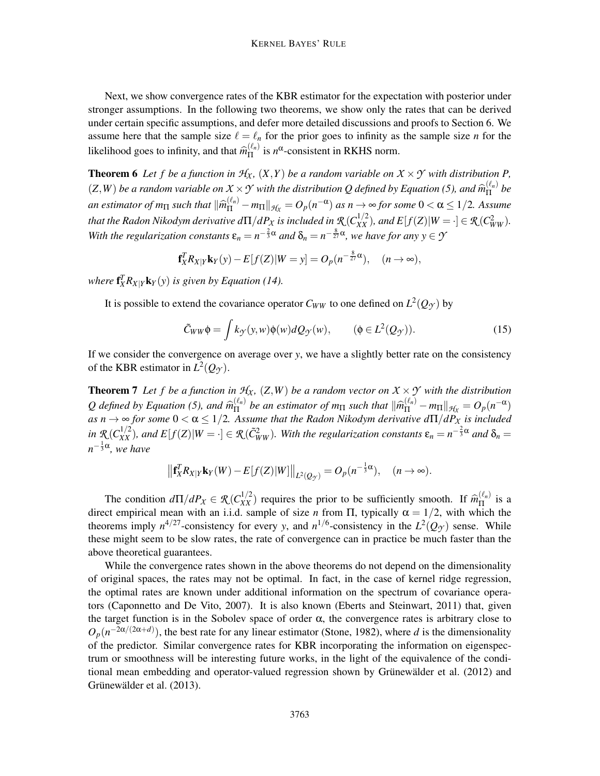Next, we show convergence rates of the KBR estimator for the expectation with posterior under stronger assumptions. In the following two theorems, we show only the rates that can be derived under certain specific assumptions, and defer more detailed discussions and proofs to Section 6. We assume here that the sample size  $\ell = \ell_n$  for the prior goes to infinity as the sample size *n* for the likelihood goes to infinity, and that  $\widehat{m}_{\Pi}^{(\ell_n)}$  $\int_{\Pi}^{(\ell_n)}$  is  $n^{\alpha}$ -consistent in RKHS norm.

**Theorem 6** Let f be a function in  $H_X$ ,  $(X, Y)$  be a random variable on  $X \times Y$  with distribution P,  $(Z, W)$  *be a random variable on*  $X \times Y$  *with the distribution Q defined by Equation (5), and*  $\widehat{m}_{\Pi}^{(\ell_n)}$  $\prod_{n=1}^{\lfloor \ell_n\rfloor}$  be *an estimator of m*<sub> $\Pi$ </sub> such that  $\|\widehat{m}_{\Pi}^{(\ell_n)} - m_{\Pi}\|_{\mathcal{H}_X} = O_p(n^{-\alpha})$  as  $n \to \infty$  for some  $0 < \alpha \leq 1/2$ . Assume *that the Radon Nikodym derivative d* $\Pi/dP_X$  *is included in*  $\mathcal{R}(C_{XX}^{1/2})$ *, and E*[f(Z)|W  $= \cdot$ ]  $\in \mathcal{R}(C_{WW}^2)$ *.* With the regularization constants  $\varepsilon_n = n^{-\frac{2}{3}\alpha}$  and  $\delta_n = n^{-\frac{8}{27}\alpha}$ , we have for any  $y \in \mathcal{Y}$ 

$$
\mathbf{f}_X^T R_{X|Y} \mathbf{k}_Y(y) - E[f(Z)|W = y] = O_p(n^{-\frac{8}{27}\alpha}), \quad (n \to \infty),
$$

*where*  $f_X^T R_{X|Y} k_Y(y)$  *is given by Equation (14).* 

It is possible to extend the covariance operator  $C_{WW}$  to one defined on  $L^2(Q_{\mathcal{T}})$  by

$$
\tilde{C}_{WW}\phi = \int k_{\mathcal{Y}}(\mathbf{y}, w)\phi(w)dQ_{\mathcal{Y}}(w), \qquad (\phi \in L^{2}(Q_{\mathcal{Y}})). \tag{15}
$$

If we consider the convergence on average over *y*, we have a slightly better rate on the consistency of the KBR estimator in  $L^2(Q_\mathcal{T})$ .

**Theorem 7** Let f be a function in  $H_X$ ,  $(Z, W)$  be a random vector on  $X \times Y$  with the distribution *Q* defined by Equation (5), and  $\widehat{m}_{\Pi}^{(\ell_n)}$  $\lim_{n \to \infty} \frac{(\ell_n)}{n}$  be an estimator of  $m_{\Pi}$  such that  $\|\widehat{m}_{\Pi}^{(\ell_n)} - m_{\Pi}\|_{\mathcal{H}_X} = O_p(n^{-\alpha})$ *as n*  $\rightarrow \infty$  *for some*  $0 < \alpha \leq 1/2$ . Assume that the Radon Nikodym derivative  $d\Pi/dP_{X}$  is included  $\mathcal{R}(C_{XX}^{1/2})$ , and  $E[f(Z)|W = \cdot] \in \mathcal{R}(\tilde{C}_{WW}^2)$ . With the regularization constants  $\varepsilon_n = n^{-\frac{2}{3}\alpha}$  and  $\delta_n = 1$ *n* − 1 3 α *, we have*

$$
\left\| \mathbf{f}_X^T R_{X|Y} \mathbf{k}_Y(W) - E[f(Z)|W] \right\|_{L^2(Q_{\mathcal{T}})} = O_p(n^{-\frac{1}{3}\alpha}), \quad (n \to \infty).
$$

The condition  $d\Pi/dP_X \in \mathcal{R}(C_{XX}^{1/2})$  requires the prior to be sufficiently smooth. If  $\widehat{m}_{\Pi}^{(\ell_n)}$  $\prod_{n=1}^{\binom{n}{n}}$  is a direct empirical mean with an i.i.d. sample of size *n* from  $\Pi$ , typically  $\alpha = 1/2$ , with which the theorems imply  $n^{4/27}$ -consistency for every *y*, and  $n^{1/6}$ -consistency in the  $L^2(Q_{\mathcal{Y}})$  sense. While these might seem to be slow rates, the rate of convergence can in practice be much faster than the above theoretical guarantees.

While the convergence rates shown in the above theorems do not depend on the dimensionality of original spaces, the rates may not be optimal. In fact, in the case of kernel ridge regression, the optimal rates are known under additional information on the spectrum of covariance operators (Caponnetto and De Vito, 2007). It is also known (Eberts and Steinwart, 2011) that, given the target function is in the Sobolev space of order  $\alpha$ , the convergence rates is arbitrary close to  $O_p(n^{-2\alpha/(2\alpha+d)})$ , the best rate for any linear estimator (Stone, 1982), where *d* is the dimensionality of the predictor. Similar convergence rates for KBR incorporating the information on eigenspectrum or smoothness will be interesting future works, in the light of the equivalence of the conditional mean embedding and operator-valued regression shown by Grünewälder et al. (2012) and Grünewälder et al. (2013).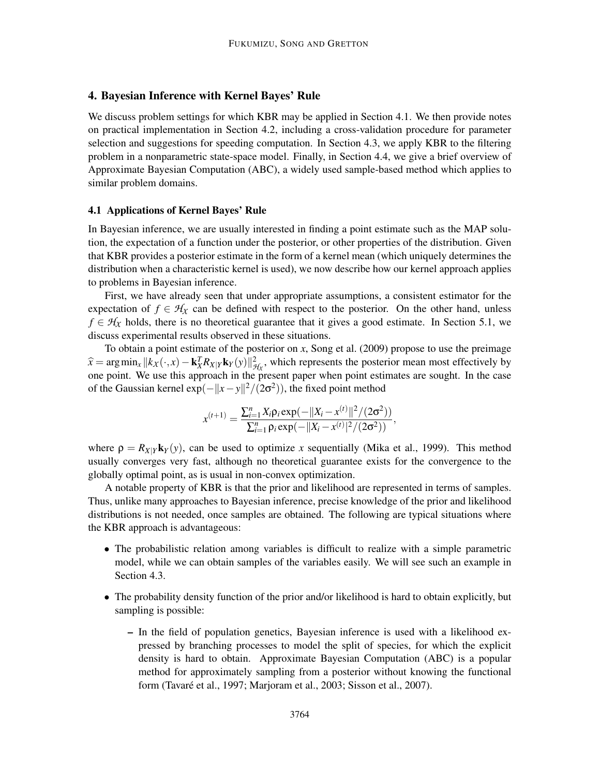# 4. Bayesian Inference with Kernel Bayes' Rule

We discuss problem settings for which KBR may be applied in Section 4.1. We then provide notes on practical implementation in Section 4.2, including a cross-validation procedure for parameter selection and suggestions for speeding computation. In Section 4.3, we apply KBR to the filtering problem in a nonparametric state-space model. Finally, in Section 4.4, we give a brief overview of Approximate Bayesian Computation (ABC), a widely used sample-based method which applies to similar problem domains.

#### 4.1 Applications of Kernel Bayes' Rule

In Bayesian inference, we are usually interested in finding a point estimate such as the MAP solution, the expectation of a function under the posterior, or other properties of the distribution. Given that KBR provides a posterior estimate in the form of a kernel mean (which uniquely determines the distribution when a characteristic kernel is used), we now describe how our kernel approach applies to problems in Bayesian inference.

First, we have already seen that under appropriate assumptions, a consistent estimator for the expectation of  $f \in H_X$  can be defined with respect to the posterior. On the other hand, unless  $f \in H_X$  holds, there is no theoretical guarantee that it gives a good estimate. In Section 5.1, we discuss experimental results observed in these situations.

To obtain a point estimate of the posterior on *x*, Song et al. (2009) propose to use the preimage  $\hat{x} = \arg \min_{x} ||k_x(\cdot, x) - \mathbf{k}_X^T R_{X|Y} \mathbf{k}_Y(y)||_{\mathcal{H}_X}^2$ , which represents the posterior mean most effectively by one point. We use this approach in the present paper when point estimates are sought. In the case of the Gaussian kernel  $\exp(-||x-y||^2/(2\sigma^2))$ , the fixed point method

$$
x^{(t+1)} = \frac{\sum_{i=1}^{n} X_i \rho_i \exp(-\|X_i - x^{(t)}\|^2 / (2\sigma^2))}{\sum_{i=1}^{n} \rho_i \exp(-\|X_i - x^{(t)}\|^2 / (2\sigma^2))},
$$

where  $\rho = R_{X|Y} k_Y(y)$ , can be used to optimize *x* sequentially (Mika et al., 1999). This method usually converges very fast, although no theoretical guarantee exists for the convergence to the globally optimal point, as is usual in non-convex optimization.

A notable property of KBR is that the prior and likelihood are represented in terms of samples. Thus, unlike many approaches to Bayesian inference, precise knowledge of the prior and likelihood distributions is not needed, once samples are obtained. The following are typical situations where the KBR approach is advantageous:

- The probabilistic relation among variables is difficult to realize with a simple parametric model, while we can obtain samples of the variables easily. We will see such an example in Section 4.3.
- The probability density function of the prior and/or likelihood is hard to obtain explicitly, but sampling is possible:
	- In the field of population genetics, Bayesian inference is used with a likelihood expressed by branching processes to model the split of species, for which the explicit density is hard to obtain. Approximate Bayesian Computation (ABC) is a popular method for approximately sampling from a posterior without knowing the functional form (Tavaré et al., 1997; Marjoram et al., 2003; Sisson et al., 2007).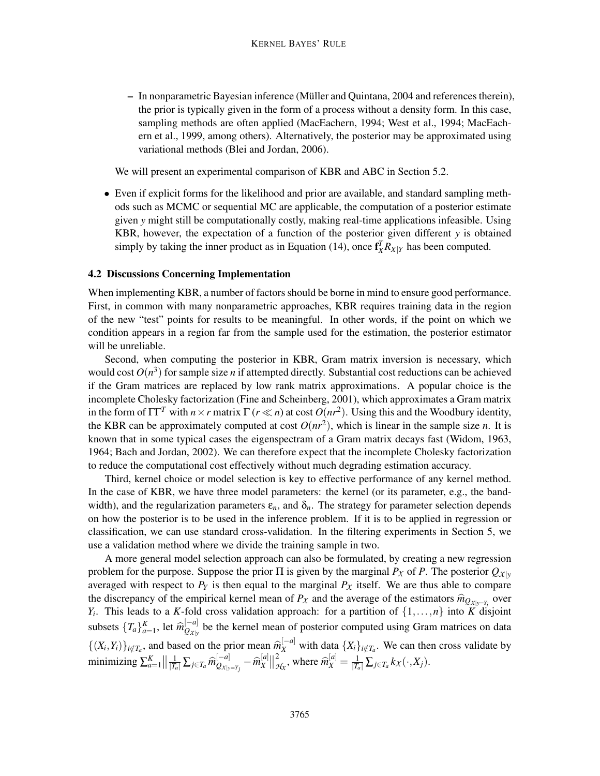– In nonparametric Bayesian inference (Muller and Quintana, 2004 and references therein), ¨ the prior is typically given in the form of a process without a density form. In this case, sampling methods are often applied (MacEachern, 1994; West et al., 1994; MacEachern et al., 1999, among others). Alternatively, the posterior may be approximated using variational methods (Blei and Jordan, 2006).

We will present an experimental comparison of KBR and ABC in Section 5.2.

• Even if explicit forms for the likelihood and prior are available, and standard sampling methods such as MCMC or sequential MC are applicable, the computation of a posterior estimate given *y* might still be computationally costly, making real-time applications infeasible. Using KBR, however, the expectation of a function of the posterior given different *y* is obtained simply by taking the inner product as in Equation (14), once  $f_X^T R_{X|Y}$  has been computed.

#### 4.2 Discussions Concerning Implementation

When implementing KBR, a number of factors should be borne in mind to ensure good performance. First, in common with many nonparametric approaches, KBR requires training data in the region of the new "test" points for results to be meaningful. In other words, if the point on which we condition appears in a region far from the sample used for the estimation, the posterior estimator will be unreliable.

Second, when computing the posterior in KBR, Gram matrix inversion is necessary, which would cost  $O(n^3)$  for sample size *n* if attempted directly. Substantial cost reductions can be achieved if the Gram matrices are replaced by low rank matrix approximations. A popular choice is the incomplete Cholesky factorization (Fine and Scheinberg, 2001), which approximates a Gram matrix in the form of  $\Gamma\Gamma^T$  with  $n \times r$  matrix  $\Gamma(r \ll n)$  at cost  $O(nr^2)$ . Using this and the Woodbury identity, the KBR can be approximately computed at cost  $O(nr^2)$ , which is linear in the sample size *n*. It is known that in some typical cases the eigenspectram of a Gram matrix decays fast (Widom, 1963, 1964; Bach and Jordan, 2002). We can therefore expect that the incomplete Cholesky factorization to reduce the computational cost effectively without much degrading estimation accuracy.

Third, kernel choice or model selection is key to effective performance of any kernel method. In the case of KBR, we have three model parameters: the kernel (or its parameter, e.g., the bandwidth), and the regularization parameters  $\varepsilon_n$ , and  $\delta_n$ . The strategy for parameter selection depends on how the posterior is to be used in the inference problem. If it is to be applied in regression or classification, we can use standard cross-validation. In the filtering experiments in Section 5, we use a validation method where we divide the training sample in two.

A more general model selection approach can also be formulated, by creating a new regression problem for the purpose. Suppose the prior  $\Pi$  is given by the marginal  $P_X$  of P. The posterior  $Q_{X|Y}$ averaged with respect to  $P_Y$  is then equal to the marginal  $P_X$  itself. We are thus able to compare the discrepancy of the empirical kernel mean of  $P_X$  and the average of the estimators  $\hat{m}_{Q_{X|y=Y_i}}$  over *Y<sub>i</sub>*. This leads to a *K*-fold cross validation approach: for a partition of  $\{1,\ldots,n\}$  into *K* disjoint subsets  $\{T_a\}_{a=1}^K$ , let  $\widehat{m}_{Q_{\mathcal{X}|\mathcal{Y}}}^{[-a]}$  $Q_{\chi|y}$  be the kernel mean of posterior computed using Gram matrices on data  $\{(X_i, Y_i)\}_{i \notin T_a}$ , and based on the prior mean  $\widehat{m}_X^{[-a]}$  with data  $\{X_i\}_{i \notin T_a}$ . We can then cross validate by  $\min$ i $\min$ zing  $\sum_{a=1}^K \left\| \frac{1}{|T_a|} \sum_{j \in T_a} \widehat{m}^{[-a]}_{Q_{X|y}} \right\|$  $\frac{[-a]}{\mathcal{Q}_{\mathcal{X}|\mathcal{y}=\mathcal{Y}_j}} - \widehat{m}_X^{[a]}$  $\begin{bmatrix} a \\ X \end{bmatrix}$   $\begin{bmatrix} 2 \\ g \end{bmatrix}$  $\frac{2}{\mathcal{H}_X}$ , where  $\widehat{m}_X^{[a]} = \frac{1}{|T_a|} \sum_{j \in T_a} k_X(\cdot, X_j)$ .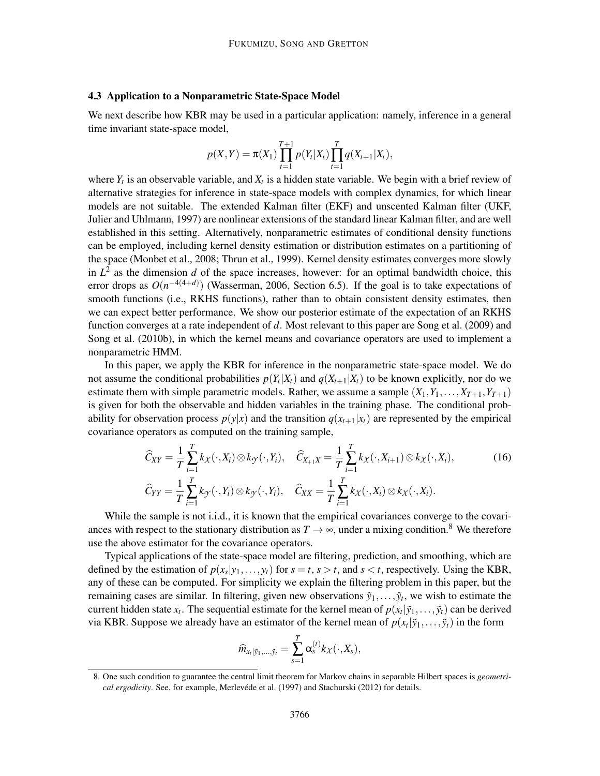#### 4.3 Application to a Nonparametric State-Space Model

We next describe how KBR may be used in a particular application: namely, inference in a general time invariant state-space model,

$$
p(X,Y) = \pi(X_1) \prod_{t=1}^{T+1} p(Y_t|X_t) \prod_{t=1}^{T} q(X_{t+1}|X_t),
$$

where  $Y_t$  is an observable variable, and  $X_t$  is a hidden state variable. We begin with a brief review of alternative strategies for inference in state-space models with complex dynamics, for which linear models are not suitable. The extended Kalman filter (EKF) and unscented Kalman filter (UKF, Julier and Uhlmann, 1997) are nonlinear extensions of the standard linear Kalman filter, and are well established in this setting. Alternatively, nonparametric estimates of conditional density functions can be employed, including kernel density estimation or distribution estimates on a partitioning of the space (Monbet et al., 2008; Thrun et al., 1999). Kernel density estimates converges more slowly in  $L^2$  as the dimension *d* of the space increases, however: for an optimal bandwidth choice, this error drops as  $O(n^{-4(4+d)})$  (Wasserman, 2006, Section 6.5). If the goal is to take expectations of smooth functions (i.e., RKHS functions), rather than to obtain consistent density estimates, then we can expect better performance. We show our posterior estimate of the expectation of an RKHS function converges at a rate independent of *d*. Most relevant to this paper are Song et al. (2009) and Song et al. (2010b), in which the kernel means and covariance operators are used to implement a nonparametric HMM.

In this paper, we apply the KBR for inference in the nonparametric state-space model. We do not assume the conditional probabilities  $p(Y_t|X_t)$  and  $q(X_{t+1}|X_t)$  to be known explicitly, nor do we estimate them with simple parametric models. Rather, we assume a sample  $(X_1, Y_1, \ldots, X_{T+1}, Y_{T+1})$ is given for both the observable and hidden variables in the training phase. The conditional probability for observation process  $p(y|x)$  and the transition  $q(x_{t+1}|x_t)$  are represented by the empirical covariance operators as computed on the training sample,

$$
\widehat{C}_{XY} = \frac{1}{T} \sum_{i=1}^{T} k_X(\cdot, X_i) \otimes k_Y(\cdot, Y_i), \quad \widehat{C}_{X_{+1}X} = \frac{1}{T} \sum_{i=1}^{T} k_X(\cdot, X_{i+1}) \otimes k_X(\cdot, X_i),
$$
\n
$$
\widehat{C}_{YY} = \frac{1}{T} \sum_{i=1}^{T} k_Y(\cdot, Y_i) \otimes k_Y(\cdot, Y_i), \quad \widehat{C}_{XX} = \frac{1}{T} \sum_{i=1}^{T} k_X(\cdot, X_i) \otimes k_X(\cdot, X_i).
$$
\n(16)

While the sample is not i.i.d., it is known that the empirical covariances converge to the covariances with respect to the stationary distribution as  $T \to \infty$ , under a mixing condition.<sup>8</sup> We therefore use the above estimator for the covariance operators.

Typical applications of the state-space model are filtering, prediction, and smoothing, which are defined by the estimation of  $p(x_s|y_1,..., y_t)$  for  $s = t, s > t$ , and  $s < t$ , respectively. Using the KBR, any of these can be computed. For simplicity we explain the filtering problem in this paper, but the remaining cases are similar. In filtering, given new observations  $\tilde{y}_1, \ldots, \tilde{y}_t$ , we wish to estimate the current hidden state  $x_t$ . The sequential estimate for the kernel mean of  $p(x_t|\tilde{y}_1,\ldots,\tilde{y}_t)$  can be derived via KBR. Suppose we already have an estimator of the kernel mean of  $p(x_t | \tilde{y}_1, \ldots, \tilde{y}_t)$  in the form

$$
\widehat{m}_{x_{t}|\tilde{y}_{1},..., \tilde{y}_{t}} = \sum_{s=1}^{T} \alpha_{s}^{(t)} k_{X}(\cdot, X_{s}),
$$

<sup>8.</sup> One such condition to guarantee the central limit theorem for Markov chains in separable Hilbert spaces is *geometrical ergodicity*. See, for example, Merlevéde et al. (1997) and Stachurski (2012) for details.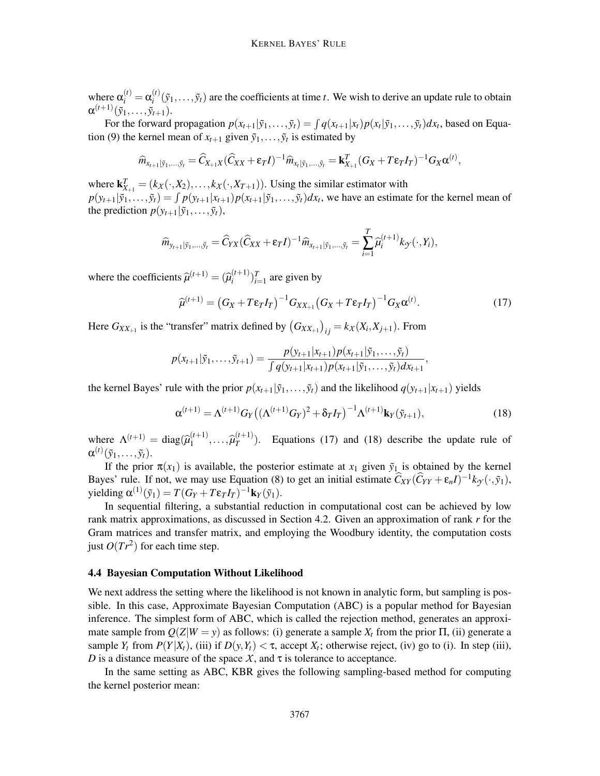where  $\alpha_i^{(t)} = \alpha_i^{(t)}$  $i'$ <sup>(*i*</sup>)( $\tilde{y}_1, \ldots, \tilde{y}_t$ ) are the coefficients at time *t*. We wish to derive an update rule to obtain  $\alpha^{(t+1)}(\tilde{y}_1,\ldots,\tilde{y}_{t+1}).$ 

For the forward propagation  $p(x_{t+1}|\tilde{y}_1,\ldots,\tilde{y}_t) = \int q(x_{t+1}|x_t)p(x_t|\tilde{y}_1,\ldots,\tilde{y}_t)dx_t$ , based on Equation (9) the kernel mean of  $x_{t+1}$  given  $\tilde{y}_1, \ldots, \tilde{y}_t$  is estimated by

$$
\widehat{m}_{x_{t+1}|\tilde{y}_1,...,\tilde{y}_t} = \widehat{C}_{X_{+1}X}(\widehat{C}_{XX} + \epsilon_T I)^{-1} \widehat{m}_{x_t|\tilde{y}_1,...,\tilde{y}_t} = \mathbf{k}_{X_{+1}}^T (G_X + T\epsilon_T I_T)^{-1} G_X \alpha^{(t)},
$$

where  $\mathbf{k}_{X_{+1}}^T = (k_X(\cdot, X_2), \dots, k_X(\cdot, X_{T+1}))$ . Using the similar estimator with  $p(y_{t+1}|\tilde{y}_1,\ldots,\tilde{y}_t) = \int p(y_{t+1}|x_{t+1})p(x_{t+1}|\tilde{y}_1,\ldots,\tilde{y}_t)dx_t$ , we have an estimate for the kernel mean of the prediction  $p(y_{t+1}|\tilde{y}_1,\ldots,\tilde{y}_t)$ ,

$$
\widehat{m}_{y_{t+1}|\tilde{y}_1,\ldots,\tilde{y}_t} = \widehat{C}_{YX}(\widehat{C}_{XX} + \varepsilon_T I)^{-1} \widehat{m}_{x_{t+1}|\tilde{y}_1,\ldots,\tilde{y}_t} = \sum_{i=1}^T \widehat{\mu}_i^{(t+1)} k_{\mathcal{Y}}(\cdot, Y_i),
$$

where the coefficients  $\hat{\mu}^{(t+1)} = (\hat{\mu}_i^{(t+1)}$  $\binom{(t+1)}{i}$ <sup>*T*</sup><sub>i=1</sub> are given by

$$
\widehat{\mu}^{(t+1)} = \left(G_X + T\epsilon_T I_T\right)^{-1} G_{XX_{+1}} \left(G_X + T\epsilon_T I_T\right)^{-1} G_X \alpha^{(t)}.
$$
\n(17)

Here  $G_{XX_{+1}}$  is the "transfer" matrix defined by  $(G_{XX_{+1}})_{ij} = k_X(X_i, X_{j+1})$ . From

$$
p(x_{t+1}|\tilde{y}_1,\ldots,\tilde{y}_{t+1})=\frac{p(y_{t+1}|x_{t+1})p(x_{t+1}|\tilde{y}_1,\ldots,\tilde{y}_t)}{\int q(y_{t+1}|x_{t+1})p(x_{t+1}|\tilde{y}_1,\ldots,\tilde{y}_t)d x_{t+1}},
$$

the kernel Bayes' rule with the prior  $p(x_{t+1}|\tilde{y}_1,\ldots,\tilde{y}_t)$  and the likelihood  $q(y_{t+1}|x_{t+1})$  yields

$$
\alpha^{(t+1)} = \Lambda^{(t+1)} G_Y \big( (\Lambda^{(t+1)} G_Y)^2 + \delta_T I_T \big)^{-1} \Lambda^{(t+1)} \mathbf{k}_Y(\tilde{y}_{t+1}), \tag{18}
$$

where  $\Lambda^{(t+1)} = \text{diag}(\hat{\mu}_1^{(t+1)})$  $\hat{\mu}_1^{(t+1)}, \ldots, \hat{\mu}_T^{(t+1)}$  $T^{(1+1)}$ ). Equations (17) and (18) describe the update rule of  $\alpha^{(t)}(\tilde{y}_1,\ldots,\tilde{y}_t).$ 

If the prior  $\pi(x_1)$  is available, the posterior estimate at  $x_1$  given  $\tilde{y}_1$  is obtained by the kernel Bayes' rule. If not, we may use Equation (8) to get an initial estimate  $\hat{C}_{XY}(\hat{C}_{YY} + \varepsilon_n I)^{-1} k_{\mathcal{Y}}(\cdot, \tilde{y}_1)$ ,  $y$ ielding  $\alpha^{(1)}(\tilde{y}_1) = T(G_Y + T\epsilon_T I_T)^{-1} k_Y(\tilde{y}_1).$ 

In sequential filtering, a substantial reduction in computational cost can be achieved by low rank matrix approximations, as discussed in Section 4.2. Given an approximation of rank *r* for the Gram matrices and transfer matrix, and employing the Woodbury identity, the computation costs just  $O(Tr^2)$  for each time step.

#### 4.4 Bayesian Computation Without Likelihood

We next address the setting where the likelihood is not known in analytic form, but sampling is possible. In this case, Approximate Bayesian Computation (ABC) is a popular method for Bayesian inference. The simplest form of ABC, which is called the rejection method, generates an approximate sample from  $O(Z|W = y)$  as follows: (i) generate a sample  $X_t$  from the prior  $\Pi$ , (ii) generate a sample  $Y_t$  from  $P(Y|X_t)$ , (iii) if  $D(y, Y_t) < \tau$ , accept  $X_t$ ; otherwise reject, (iv) go to (i). In step (iii), *D* is a distance measure of the space *X*, and  $\tau$  is tolerance to acceptance.

In the same setting as ABC, KBR gives the following sampling-based method for computing the kernel posterior mean: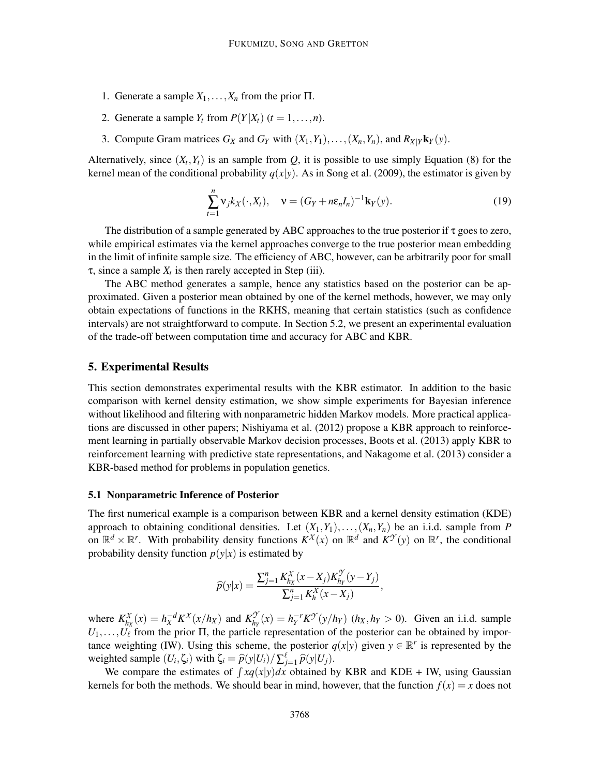- 1. Generate a sample  $X_1, \ldots, X_n$  from the prior  $\Pi$ .
- 2. Generate a sample  $Y_t$  from  $P(Y|X_t)$  ( $t = 1, \ldots, n$ ).
- 3. Compute Gram matrices  $G_X$  and  $G_Y$  with  $(X_1, Y_1), \ldots, (X_n, Y_n)$ , and  $R_{X|Y}$ **k**<sub>*Y*</sub>(*y*).

Alternatively, since  $(X_t, Y_t)$  is an sample from  $Q$ , it is possible to use simply Equation (8) for the kernel mean of the conditional probability  $q(x|y)$ . As in Song et al. (2009), the estimator is given by

$$
\sum_{t=1}^{n} \mathbf{v}_j k_X(\cdot, X_t), \quad \mathbf{v} = (G_Y + n\epsilon_n I_n)^{-1} \mathbf{k}_Y(\mathbf{y}). \tag{19}
$$

The distribution of a sample generated by ABC approaches to the true posterior if  $\tau$  goes to zero, while empirical estimates via the kernel approaches converge to the true posterior mean embedding in the limit of infinite sample size. The efficiency of ABC, however, can be arbitrarily poor for small  $\tau$ , since a sample  $X_t$  is then rarely accepted in Step (iii).

The ABC method generates a sample, hence any statistics based on the posterior can be approximated. Given a posterior mean obtained by one of the kernel methods, however, we may only obtain expectations of functions in the RKHS, meaning that certain statistics (such as confidence intervals) are not straightforward to compute. In Section 5.2, we present an experimental evaluation of the trade-off between computation time and accuracy for ABC and KBR.

#### 5. Experimental Results

This section demonstrates experimental results with the KBR estimator. In addition to the basic comparison with kernel density estimation, we show simple experiments for Bayesian inference without likelihood and filtering with nonparametric hidden Markov models. More practical applications are discussed in other papers; Nishiyama et al. (2012) propose a KBR approach to reinforcement learning in partially observable Markov decision processes, Boots et al. (2013) apply KBR to reinforcement learning with predictive state representations, and Nakagome et al. (2013) consider a KBR-based method for problems in population genetics.

### 5.1 Nonparametric Inference of Posterior

The first numerical example is a comparison between KBR and a kernel density estimation (KDE) approach to obtaining conditional densities. Let  $(X_1, Y_1), \ldots, (X_n, Y_n)$  be an i.i.d. sample from *P* on  $\mathbb{R}^d \times \mathbb{R}^r$ . With probability density functions  $K^X(x)$  on  $\mathbb{R}^d$  and  $K^{\mathcal{Y}}(y)$  on  $\mathbb{R}^r$ , the conditional probability density function  $p(y|x)$  is estimated by

$$
\widehat{p}(y|x) = \frac{\sum_{j=1}^{n} K_{hx}^{X}(x - X_j)K_{hy}^{y}(y - Y_j)}{\sum_{j=1}^{n} K_{h}^{X}(x - X_j)},
$$

where  $K_{h}^{\chi}$  $h_X^X(x) = h_X^{-d} K^X(x/h_X)$  and  $K_{h_1}^{\mathcal{D}}$  $\frac{\mathcal{F}}{h_Y}(x) = h_Y^{-r} K^{\mathcal{T}}(y/h_Y)$  (*h<sub>X</sub>*, *h<sub>Y</sub>* > 0). Given an i.i.d. sample  $U_1, \ldots, U_\ell$  from the prior  $\Pi$ , the particle representation of the posterior can be obtained by importance weighting (IW). Using this scheme, the posterior  $q(x|y)$  given  $y \in \mathbb{R}^r$  is represented by the weighted sample  $(U_i, \zeta_i)$  with  $\zeta_i = \hat{p}(y|U_i) / \sum_{j=1}^{\ell} \hat{p}(y|U_j)$ .

We compare the estimates of  $\int xq(x|y)dx$  obtained by KBR and KDE + IW, using Gaussian kernels for both the methods. We should bear in mind, however, that the function  $f(x) = x$  does not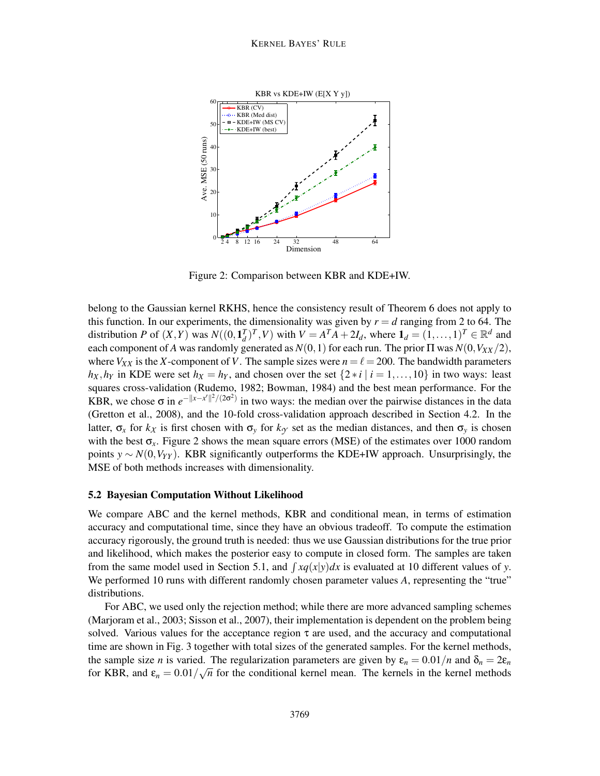

Figure 2: Comparison between KBR and KDE+IW.

belong to the Gaussian kernel RKHS, hence the consistency result of Theorem 6 does not apply to this function. In our experiments, the dimensionality was given by  $r = d$  ranging from 2 to 64. The distribution *P* of  $(X, Y)$  was  $N((0, \mathbf{1}_d^T)^T, V)$  with  $V = A^T A + 2I_d$ , where  $\mathbf{1}_d = (1, \ldots, 1)^T \in \mathbb{R}^d$  and each component of *A* was randomly generated as  $N(0,1)$  for each run. The prior  $\Pi$  was  $N(0,V_{XX}/2)$ , where  $V_{XX}$  is the *X*-component of *V*. The sample sizes were  $n = \ell = 200$ . The bandwidth parameters  $h_X, h_Y$  in KDE were set  $h_X = h_Y$ , and chosen over the set  $\{2 \times i \mid i = 1, \ldots, 10\}$  in two ways: least squares cross-validation (Rudemo, 1982; Bowman, 1984) and the best mean performance. For the KBR, we chose  $\sigma$  in  $e^{-\|x-x'\|^2/(2\sigma^2)}$  in two ways: the median over the pairwise distances in the data (Gretton et al., 2008), and the 10-fold cross-validation approach described in Section 4.2. In the latter,  $\sigma_x$  for  $k_x$  is first chosen with  $\sigma_y$  for  $k_y$  set as the median distances, and then  $\sigma_y$  is chosen with the best  $\sigma_x$ . Figure 2 shows the mean square errors (MSE) of the estimates over 1000 random points *y* ∼ *N*(0,*VYY* ). KBR significantly outperforms the KDE+IW approach. Unsurprisingly, the MSE of both methods increases with dimensionality.

#### 5.2 Bayesian Computation Without Likelihood

We compare ABC and the kernel methods, KBR and conditional mean, in terms of estimation accuracy and computational time, since they have an obvious tradeoff. To compute the estimation accuracy rigorously, the ground truth is needed: thus we use Gaussian distributions for the true prior and likelihood, which makes the posterior easy to compute in closed form. The samples are taken from the same model used in Section 5.1, and  $\int xq(x|y)dx$  is evaluated at 10 different values of *y*. We performed 10 runs with different randomly chosen parameter values *A*, representing the "true" distributions.

For ABC, we used only the rejection method; while there are more advanced sampling schemes (Marjoram et al., 2003; Sisson et al., 2007), their implementation is dependent on the problem being solved. Various values for the acceptance region  $\tau$  are used, and the accuracy and computational time are shown in Fig. 3 together with total sizes of the generated samples. For the kernel methods, the sample size *n* is varied. The regularization parameters are given by  $\varepsilon_n = 0.01/n$  and  $\delta_n = 2\varepsilon_n$ for KBR, and  $\varepsilon_n = 0.01/\sqrt{n}$  for the conditional kernel mean. The kernels in the kernel methods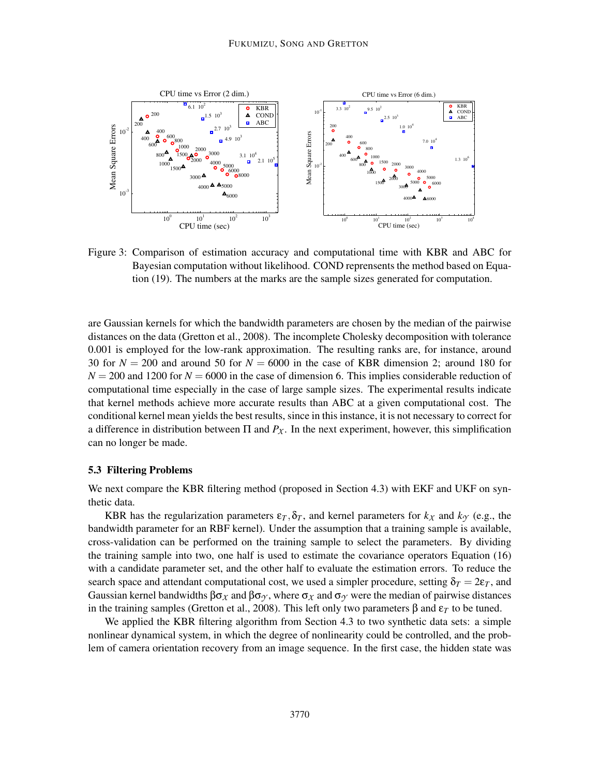

Figure 3: Comparison of estimation accuracy and computational time with KBR and ABC for Bayesian computation without likelihood. COND reprensents the method based on Equation (19). The numbers at the marks are the sample sizes generated for computation.

are Gaussian kernels for which the bandwidth parameters are chosen by the median of the pairwise distances on the data (Gretton et al., 2008). The incomplete Cholesky decomposition with tolerance 0.001 is employed for the low-rank approximation. The resulting ranks are, for instance, around 30 for  $N = 200$  and around 50 for  $N = 6000$  in the case of KBR dimension 2; around 180 for  $N = 200$  and 1200 for  $N = 6000$  in the case of dimension 6. This implies considerable reduction of computational time especially in the case of large sample sizes. The experimental results indicate that kernel methods achieve more accurate results than ABC at a given computational cost. The conditional kernel mean yields the best results, since in this instance, it is not necessary to correct for a difference in distribution between  $\Pi$  and  $P_X$ . In the next experiment, however, this simplification can no longer be made.

#### 5.3 Filtering Problems

We next compare the KBR filtering method (proposed in Section 4.3) with EKF and UKF on synthetic data.

KBR has the regularization parameters  $\varepsilon_T$ ,  $\delta_T$ , and kernel parameters for  $k_X$  and  $k_Y$  (e.g., the bandwidth parameter for an RBF kernel). Under the assumption that a training sample is available, cross-validation can be performed on the training sample to select the parameters. By dividing the training sample into two, one half is used to estimate the covariance operators Equation (16) with a candidate parameter set, and the other half to evaluate the estimation errors. To reduce the search space and attendant computational cost, we used a simpler procedure, setting  $\delta_T = 2\varepsilon_T$ , and Gaussian kernel bandwidths  $βσ<sub>X</sub>$  and  $βσ<sub>Y</sub>$ , where  $σ<sub>X</sub>$  and  $σ<sub>Y</sub>$  were the median of pairwise distances in the training samples (Gretton et al., 2008). This left only two parameters β and  $ε_T$  to be tuned.

We applied the KBR filtering algorithm from Section 4.3 to two synthetic data sets: a simple nonlinear dynamical system, in which the degree of nonlinearity could be controlled, and the problem of camera orientation recovery from an image sequence. In the first case, the hidden state was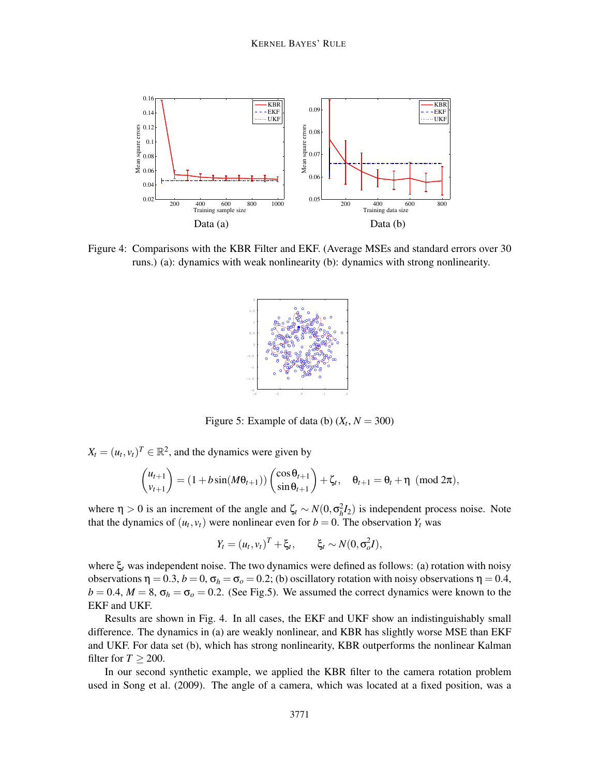

Figure 4: Comparisons with the KBR Filter and EKF. (Average MSEs and standard errors over 30 runs.) (a): dynamics with weak nonlinearity (b): dynamics with strong nonlinearity.



Figure 5: Example of data (b)  $(X_t, N = 300)$ 

 $X_t = (u_t, v_t)^T \in \mathbb{R}^2$ , and the dynamics were given by

$$
\binom{u_{t+1}}{v_{t+1}} = (1 + b\sin(M\theta_{t+1})) \binom{\cos\theta_{t+1}}{\sin\theta_{t+1}} + \zeta_t, \quad \theta_{t+1} = \theta_t + \eta \pmod{2\pi},
$$

where  $\eta > 0$  is an increment of the angle and  $\zeta_t \sim N(0, \sigma_h^2 I_2)$  is independent process noise. Note that the dynamics of  $(u_t, v_t)$  were nonlinear even for  $b = 0$ . The observation  $Y_t$  was

$$
Y_t = (u_t, v_t)^T + \xi_t, \qquad \xi_t \sim N(0, \sigma_o^2 I),
$$

where ξ*<sup>t</sup>* was independent noise. The two dynamics were defined as follows: (a) rotation with noisy observations  $\eta = 0.3$ ,  $b = 0$ ,  $\sigma_h = \sigma_o = 0.2$ ; (b) oscillatory rotation with noisy observations  $\eta = 0.4$ ,  $b = 0.4$ ,  $M = 8$ ,  $\sigma_h = \sigma_o = 0.2$ . (See Fig.5). We assumed the correct dynamics were known to the EKF and UKF.

Results are shown in Fig. 4. In all cases, the EKF and UKF show an indistinguishably small difference. The dynamics in (a) are weakly nonlinear, and KBR has slightly worse MSE than EKF and UKF. For data set (b), which has strong nonlinearity, KBR outperforms the nonlinear Kalman filter for  $T > 200$ .

In our second synthetic example, we applied the KBR filter to the camera rotation problem used in Song et al. (2009). The angle of a camera, which was located at a fixed position, was a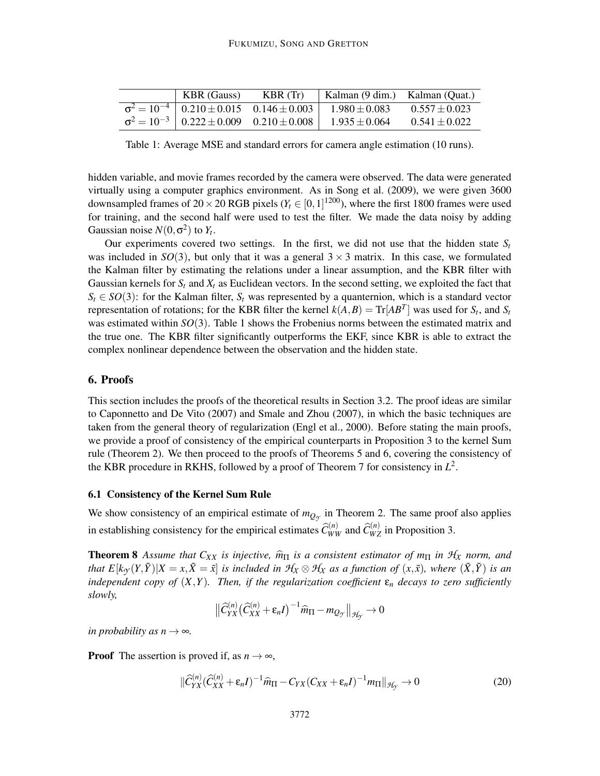| <b>KBR</b> (Gauss)                               | KBR(Tr)                                                    | Kalman (9 dim.) Kalman (Quat.) |                   |
|--------------------------------------------------|------------------------------------------------------------|--------------------------------|-------------------|
| $\sigma^2 = 10^{-4}$ 0.210 ± 0.015 0.146 ± 0.003 |                                                            | $1.980 \pm 0.083$              | $0.557 \pm 0.023$ |
|                                                  | $\sigma^2 = 10^{-3}$   $0.222 \pm 0.009$ $0.210 \pm 0.008$ | $1.935 \pm 0.064$              | $0.541 \pm 0.022$ |

Table 1: Average MSE and standard errors for camera angle estimation (10 runs).

hidden variable, and movie frames recorded by the camera were observed. The data were generated virtually using a computer graphics environment. As in Song et al. (2009), we were given 3600 downsampled frames of  $20 \times 20$  RGB pixels ( $Y_t \in [0, 1]^{1200}$ ), where the first 1800 frames were used for training, and the second half were used to test the filter. We made the data noisy by adding Gaussian noise  $N(0, \sigma^2)$  to  $Y_t$ .

Our experiments covered two settings. In the first, we did not use that the hidden state  $S_t$ was included in  $SO(3)$ , but only that it was a general  $3 \times 3$  matrix. In this case, we formulated the Kalman filter by estimating the relations under a linear assumption, and the KBR filter with Gaussian kernels for  $S_t$  and  $X_t$  as Euclidean vectors. In the second setting, we exploited the fact that  $S_t \in SO(3)$ : for the Kalman filter,  $S_t$  was represented by a quanternion, which is a standard vector representation of rotations; for the KBR filter the kernel  $k(A, B) = \text{Tr}[AB^T]$  was used for  $S_t$ , and  $S_t$ was estimated within *SO*(3). Table 1 shows the Frobenius norms between the estimated matrix and the true one. The KBR filter significantly outperforms the EKF, since KBR is able to extract the complex nonlinear dependence between the observation and the hidden state.

# 6. Proofs

This section includes the proofs of the theoretical results in Section 3.2. The proof ideas are similar to Caponnetto and De Vito (2007) and Smale and Zhou (2007), in which the basic techniques are taken from the general theory of regularization (Engl et al., 2000). Before stating the main proofs, we provide a proof of consistency of the empirical counterparts in Proposition 3 to the kernel Sum rule (Theorem 2). We then proceed to the proofs of Theorems 5 and 6, covering the consistency of the KBR procedure in RKHS, followed by a proof of Theorem 7 for consistency in  $L^2$ .

### 6.1 Consistency of the Kernel Sum Rule

We show consistency of an empirical estimate of  $m_{Q_y}$  in Theorem 2. The same proof also applies in establishing consistency for the empirical estimates  $\hat{C}_{WW}^{(n)}$  and  $\hat{C}_{WZ}^{(n)}$  in Proposition 3.

**Theorem 8** Assume that  $C_{XX}$  is injective,  $\hat{m}_{\Pi}$  is a consistent estimator of  $m_{\Pi}$  in  $\mathcal{H}_X$  norm, and that  $E[k_{\gamma}(Y,\tilde{Y})|X=x,\tilde{X}=\tilde{x}]$  is included in  $\mathcal{H}_X\otimes\mathcal{H}_X$  as a function of  $(x,\tilde{x})$ , where  $(\tilde{X},\tilde{Y})$  is an *independent copy of*  $(X, Y)$ *. Then, if the regularization coefficient*  $\varepsilon_n$  *decays to zero sufficiently slowly,*

$$
\left\|\widehat{C}_{YX}^{(n)}\left(\widehat{C}_{XX}^{(n)}+\varepsilon_n I\right)^{-1}\widehat{m}_{\Pi}-m_{Q_Y}\right\|_{\mathcal{H}_Y}\to 0
$$

*in probability as n*  $\rightarrow \infty$ *.* 

**Proof** The assertion is proved if, as  $n \rightarrow \infty$ ,

$$
\|\widehat{C}_{YX}^{(n)}(\widehat{C}_{XX}^{(n)} + \varepsilon_n I)^{-1}\widehat{m}_{\Pi} - C_{YX}(C_{XX} + \varepsilon_n I)^{-1}m_{\Pi}\|_{\mathcal{H}_Y} \to 0
$$
\n(20)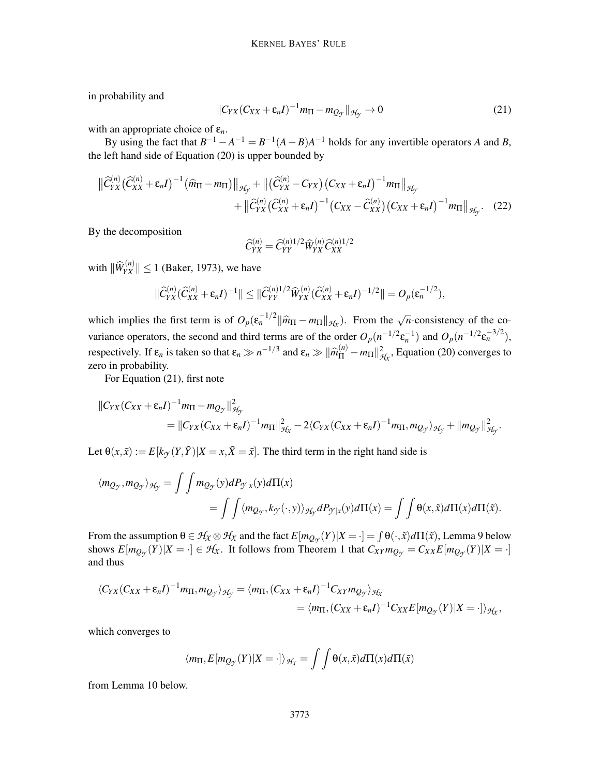in probability and

$$
||C_{YX}(C_{XX}+\varepsilon_n I)^{-1}m_{\Pi}-m_{Q_{\mathcal{Y}}}||_{\mathcal{H}_{\mathcal{Y}}}\to 0
$$
\n(21)

with an appropriate choice of ε*n*.

By using the fact that  $B^{-1} - A^{-1} = B^{-1}(A - B)A^{-1}$  holds for any invertible operators *A* and *B*, the left hand side of Equation (20) is upper bounded by

$$
\|\widehat{C}_{YX}^{(n)}(\widehat{C}_{XX}^{(n)} + \varepsilon_n I)^{-1}(\widehat{m}_{\Pi} - m_{\Pi})\|_{\mathcal{H}_{Y}} + \|(\widehat{C}_{YX}^{(n)} - C_{YX})(C_{XX} + \varepsilon_n I)^{-1}m_{\Pi}\|_{\mathcal{H}_{Y}} + \|\widehat{C}_{YX}^{(n)}(\widehat{C}_{XX}^{(n)} + \varepsilon_n I)^{-1}(C_{XX} - \widehat{C}_{XX}^{(n)})(C_{XX} + \varepsilon_n I)^{-1}m_{\Pi}\|_{\mathcal{H}_{Y}}.
$$
 (22)

By the decomposition

$$
\widehat{C}_{YX}^{(n)} = \widehat{C}_{YY}^{(n)1/2} \widehat{W}_{YX}^{(n)} \widehat{C}_{XX}^{(n)1/2}
$$

with  $\|\widehat{W}_{YX}^{(n)}\| \le 1$  (Baker, 1973), we have

$$
\|\widehat{C}_{YX}^{(n)}(\widehat{C}_{XX}^{(n)}+\varepsilon_n I)^{-1}\| \leq \|\widehat{C}_{YY}^{(n)1/2}\widehat{W}_{YX}^{(n)}(\widehat{C}_{XX}^{(n)}+\varepsilon_n I)^{-1/2}\| = O_p(\varepsilon_n^{-1/2}),
$$

which implies the first term is of  $O_p(\varepsilon_n^{-1/2} || \hat{m}_{\Pi} - m_{\Pi} ||_{\mathcal{H}_X})$ . From the  $\sqrt{n}$ -consistency of the covariance operators, the second and third terms are of the order  $O_p(n^{-1/2} \epsilon_n^{-1})$  and  $O_p(n^{-1/2} \epsilon_n^{-3/2})$ , respectively. If  $\varepsilon_n$  is taken so that  $\varepsilon_n \gg n^{-1/3}$  and  $\varepsilon_n \gg ||\hat{m}_{\Pi}^{(n)} - m_{\Pi}||_{\mathcal{H}_X}^2$ , Equation (20) converges to zero in probability.

For Equation (21), first note

$$
||C_{YX}(C_{XX} + \varepsilon_n I)^{-1} m_{\Pi} - m_{Q_{\mathcal{Y}}}||_{\mathcal{H}_{\mathcal{Y}}}^2
$$
  
=  $||C_{YX}(C_{XX} + \varepsilon_n I)^{-1} m_{\Pi}||_{\mathcal{H}_{X}}^2 - 2\langle C_{YX}(C_{XX} + \varepsilon_n I)^{-1} m_{\Pi}, m_{Q_{\mathcal{Y}}}\rangle_{\mathcal{H}_{\mathcal{Y}}} + ||m_{Q_{\mathcal{Y}}}||_{\mathcal{H}_{\mathcal{Y}}}^2.$ 

Let  $\Theta(x, \tilde{x}) := E[k_{\gamma}(Y, \tilde{Y})|X = x, \tilde{X} = \tilde{x}].$  The third term in the right hand side is

$$
\langle m_{Q_{\mathcal{Y}}}, m_{Q_{\mathcal{Y}}}\rangle_{\mathcal{H}_{\mathcal{Y}}} = \iint m_{Q_{\mathcal{Y}}}(y) dP_{\mathcal{Y}|x}(y) d\Pi(x)
$$
  
= 
$$
\iint \langle m_{Q_{\mathcal{Y}}}, k_{\mathcal{Y}}(\cdot, y) \rangle_{\mathcal{H}_{\mathcal{Y}}} dP_{\mathcal{Y}|x}(y) d\Pi(x) = \iint \theta(x, \tilde{x}) d\Pi(x) d\Pi(\tilde{x}).
$$

From the assumption  $\theta \in \mathcal{H}_X \otimes \mathcal{H}_X$  and the fact  $E[m_{Q_{\mathcal{Y}}}(Y)|X = \cdot] = \int \theta(\cdot, \tilde{x}) d\Pi(\tilde{x})$ , Lemma 9 below shows  $E[m_{Q_{\mathcal{Y}}}(Y)|X = \cdot] \in \mathcal{H}_X$ . It follows from Theorem 1 that  $C_{XY}m_{Q_{\mathcal{Y}}} = C_{XX}E[m_{Q_{\mathcal{Y}}}(Y)|X = \cdot]$ and thus

$$
\langle C_{YX}(C_{XX}+\varepsilon_nI)^{-1}m_{\Pi},m_{Q_{\mathcal{Y}}}\rangle_{\mathcal{H}_{\mathcal{Y}}}=\langle m_{\Pi},(C_{XX}+\varepsilon_nI)^{-1}C_{XY}m_{Q_{\mathcal{Y}}}\rangle_{\mathcal{H}_{X}}\\=\langle m_{\Pi},(C_{XX}+\varepsilon_nI)^{-1}C_{XX}E[m_{Q_{\mathcal{Y}}}(Y)|X=\cdot]\rangle_{\mathcal{H}_{X}},
$$

which converges to

$$
\langle m_{\Pi}, E[m_{Q_{\mathcal{F}}}(Y)|X=\cdot]\rangle_{\mathcal{H}_X} = \int \int \Theta(x,\tilde{x}) d\Pi(x) d\Pi(\tilde{x})
$$

from Lemma 10 below.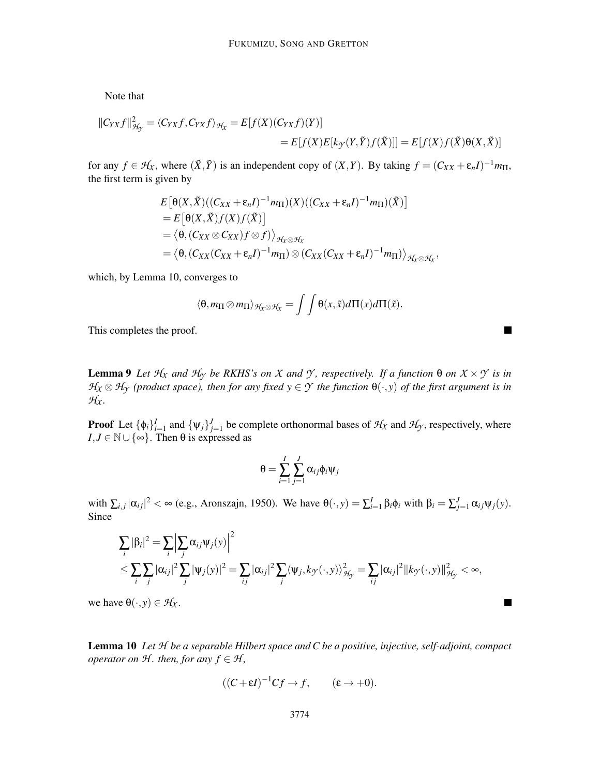Note that

$$
||C_{YX}f||_{\mathcal{H}_{Y}}^{2} = \langle C_{YX}f, C_{YX}f \rangle_{\mathcal{H}_{X}} = E[f(X)(C_{YX}f)(Y)]
$$
  
=  $E[f(X)E[k_{Y}(Y,\tilde{Y})f(\tilde{X})]] = E[f(X)f(\tilde{X})\Theta(X,\tilde{X})]$ 

for any  $f \in H_X$ , where  $(\tilde{X}, \tilde{Y})$  is an independent copy of  $(X, Y)$ . By taking  $f = (C_{XX} + \varepsilon_n I)^{-1} m_{\Pi}$ , the first term is given by

$$
E[\Theta(X, \tilde{X})((C_{XX} + \varepsilon_n I)^{-1} m_{\Pi})(X)((C_{XX} + \varepsilon_n I)^{-1} m_{\Pi})(\tilde{X})]
$$
  
=  $E[\Theta(X, \tilde{X})f(X)f(\tilde{X})]$   
=  $\langle \Theta, (C_{XX} \otimes C_{XX})f \otimes f) \rangle_{\mathcal{H}_X \otimes \mathcal{H}_X}$   
=  $\langle \Theta, (C_{XX}(C_{XX} + \varepsilon_n I)^{-1} m_{\Pi}) \otimes (C_{XX}(C_{XX} + \varepsilon_n I)^{-1} m_{\Pi}) \rangle_{\mathcal{H}_X \otimes \mathcal{H}_X},$ 

which, by Lemma 10, converges to

$$
\langle \theta, m_{\Pi} \otimes m_{\Pi} \rangle_{\mathcal{H}_{\chi} \otimes \mathcal{H}_{\chi}} = \int \int \theta(x, \tilde{x}) d\Pi(x) d\Pi(\tilde{x}).
$$

This completes the proof.

**Lemma 9** *Let*  $H_X$  *and*  $H_Y$  *be RKHS's on X and Y*, *respectively. If a function* θ *on*  $X \times Y$  *is in*  $H_X \otimes H_Y$  (product space), then for any fixed  $y \in Y$  the function  $\theta(\cdot, y)$  of the first argument is in  $H_X$ .

**Proof** Let  $\{\phi_i\}_{i=1}^J$  and  $\{\psi_j\}_{j=1}^J$  be complete orthonormal bases of  $\mathcal{H}_X$  and  $\mathcal{H}_Y$ , respectively, where  $I, J \in \mathbb{N} \cup \{\infty\}$ . Then  $\theta$  is expressed as

$$
\theta = \sum_{i=1}^{I} \sum_{j=1}^{J} \alpha_{ij} \phi_i \psi_j
$$

with  $\sum_{i,j} |\alpha_{ij}|^2 < \infty$  (e.g., Aronszajn, 1950). We have  $\theta(\cdot, y) = \sum_{i=1}^I \beta_i \phi_i$  with  $\beta_i = \sum_{j=1}^J \alpha_{ij} \psi_j(y)$ . Since

$$
\sum_{i} |\beta_i|^2 = \sum_{i} \Big| \sum_{j} \alpha_{ij} \psi_j(y) \Big|^2
$$
\n
$$
\leq \sum_{i} \sum_{j} |\alpha_{ij}|^2 \sum_{j} |\psi_j(y)|^2 = \sum_{ij} |\alpha_{ij}|^2 \sum_{j} \langle \psi_j, k_{\mathcal{J}}(\cdot, y) \rangle_{\mathcal{H}_{\mathcal{Y}}}^2 = \sum_{ij} |\alpha_{ij}|^2 \| k_{\mathcal{J}}(\cdot, y) \|_{\mathcal{H}_{\mathcal{Y}}}^2 < \infty,
$$

we have  $\theta(\cdot, y) \in \mathcal{H}_X$ .

Lemma 10 *Let H be a separable Hilbert space and C be a positive, injective, self-adjoint, compact operator on*  $H$ *. then, for any*  $f \in H$ *,* 

$$
((C + \varepsilon I)^{-1}Cf \to f, \qquad (\varepsilon \to +0).
$$

 $\overline{\phantom{a}}$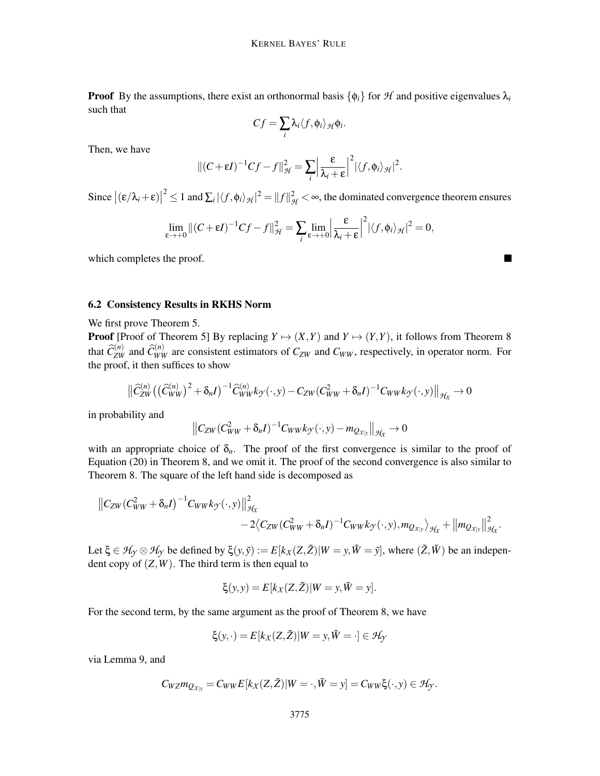**Proof** By the assumptions, there exist an orthonormal basis  $\{\phi_i\}$  for *H* and positive eigenvalues  $\lambda_i$ such that

$$
Cf = \sum_i \lambda_i \langle f, \phi_i \rangle_{\mathcal{H}} \phi_i.
$$

Then, we have

$$
\|(C+\varepsilon I)^{-1}Cf-f\|_{\mathcal{H}}^2=\sum_i\left|\frac{\varepsilon}{\lambda_i+\varepsilon}\right|^2|\langle f,\phi_i\rangle_{\mathcal{H}}|^2.
$$

Since  $|(\varepsilon/\lambda_i+\varepsilon)|^2 \leq 1$  and  $\sum_i |\langle f, \phi_i \rangle_{\mathcal{H}}|^2 = ||f||^2_{\mathcal{H}} < \infty$ , the dominated convergence theorem ensures

$$
\lim_{\varepsilon \to +0} \|(C+\varepsilon I)^{-1}Cf - f\|_{\mathcal{H}}^2 = \sum_{i} \lim_{\varepsilon \to +0} \left| \frac{\varepsilon}{\lambda_i + \varepsilon} \right|^2 |\langle f, \phi_i \rangle_{\mathcal{H}}|^2 = 0,
$$

which completes the proof.

# 6.2 Consistency Results in RKHS Norm

We first prove Theorem 5.

**Proof** [Proof of Theorem 5] By replacing  $Y \mapsto (X,Y)$  and  $Y \mapsto (Y,Y)$ , it follows from Theorem 8 that  $\hat{C}_{ZW}^{(n)}$  and  $\hat{C}_{WW}^{(n)}$  are consistent estimators of  $C_{ZW}$  and  $C_{WW}$ , respectively, in operator norm. For the proof, it then suffices to show

$$
\big\|\widehat{C}_{ZW}^{(n)}\big(\big(\widehat{C}_{WW}^{(n)}\big)^2 + \delta_n I\big)^{-1}\widehat{C}_{WW}^{(n)}k_{\mathcal{Y}}(\cdot,y) - C_{ZW}(C_{WW}^2 + \delta_n I)^{-1}C_{WW}k_{\mathcal{Y}}(\cdot,y)\big\|_{\mathcal{H}_X} \to 0
$$

in probability and

$$
\left\|C_{ZW}(C_{WW}^2+\delta_n I)^{-1}C_{WW}k_{\mathcal{Y}}(\cdot,y)-m_{Q_{X|y}}\right\|_{\mathcal{H}_X}\to 0
$$

with an appropriate choice of  $\delta_n$ . The proof of the first convergence is similar to the proof of Equation (20) in Theorem 8, and we omit it. The proof of the second convergence is also similar to Theorem 8. The square of the left hand side is decomposed as

$$
\|C_{ZW}(C_{WW}^2+\delta_n I)^{-1}C_{WW}k_{\mathcal{I}}(\cdot,y)\|_{\mathcal{H}_X}^2 -2\langle C_{ZW}(C_{WW}^2+\delta_n I)^{-1}C_{WW}k_{\mathcal{I}}(\cdot,y),m_{Q_{X|_{Y}}}\rangle_{\mathcal{H}_X}+\|m_{Q_{X|_{Y}}}\|_{\mathcal{H}_X}^2.
$$

Let  $\xi \in H_{\gamma} \otimes H_{\gamma}$  be defined by  $\xi(y, \tilde{y}) := E[k_X(Z, \tilde{Z})|W = y, \tilde{W} = \tilde{y}]$ , where  $(\tilde{Z}, \tilde{W})$  be an independent copy of  $(Z, W)$ . The third term is then equal to

$$
\xi(y, y) = E[k_X(Z, \tilde{Z})|W = y, \tilde{W} = y].
$$

For the second term, by the same argument as the proof of Theorem 8, we have

$$
\xi(y, \cdot) = E[k_X(Z, \tilde{Z})|W = y, \tilde{W} = \cdot] \in \mathcal{H}_{\mathcal{Y}}
$$

via Lemma 9, and

$$
C_{WZ}m_{Q_{X|y}} = C_{WW}E[k_X(Z,\tilde{Z})|W = \cdot, \tilde{W} = y] = C_{WW}\xi(\cdot,y) \in \mathcal{H}_{\mathcal{Y}}.
$$

 $\blacksquare$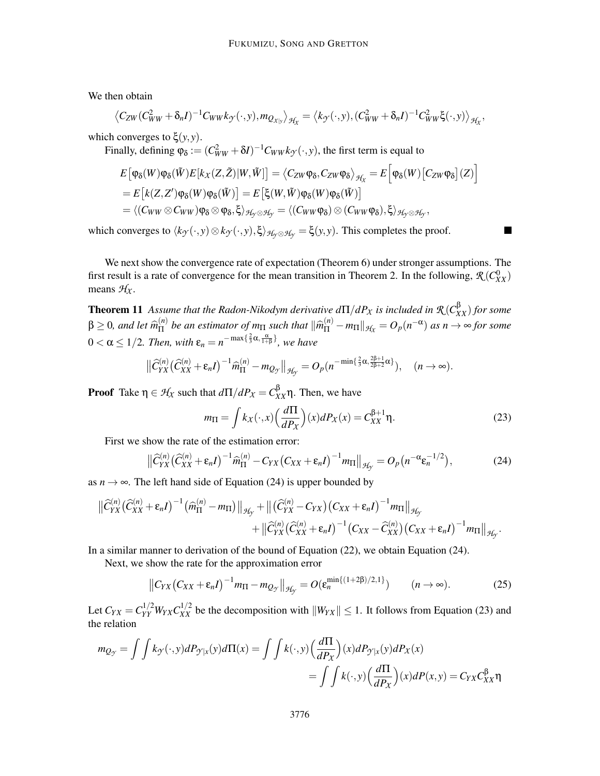We then obtain

$$
\left\langle C_{ZW}(C_{WW}^2+\delta_n I)^{-1}C_{WW}k_{\mathcal{Y}}(\cdot,y),m_{\mathcal{Q}_{X|y}}\right\rangle_{\mathcal{H}_X}=\left\langle k_{\mathcal{Y}}(\cdot,y),(C_{WW}^2+\delta_n I)^{-1}C_{WW}^2\xi(\cdot,y)\right\rangle_{\mathcal{H}_X},
$$

which converges to  $\xi(y, y)$ .

Finally, defining  $\varphi_{\delta} := (C_{WW}^2 + \delta I)^{-1} C_{WW} k_{\mathcal{T}}(\cdot, y)$ , the first term is equal to

$$
E[\varphi_{\delta}(W)\varphi_{\delta}(\tilde{W})E[k_{X}(Z,\tilde{Z})|W,\tilde{W}]] = \langle C_{ZW}\varphi_{\delta}, C_{ZW}\varphi_{\delta}\rangle_{\mathcal{H}_{X}} = E[\varphi_{\delta}(W)[C_{ZW}\varphi_{\delta}](Z)]
$$
  
\n
$$
= E[k(Z,Z')\varphi_{\delta}(W)\varphi_{\delta}(\tilde{W})] = E[\xi(W,\tilde{W})\varphi_{\delta}(W)\varphi_{\delta}(\tilde{W})]
$$
  
\n
$$
= \langle (C_{WW}\otimes C_{WW})\varphi_{\delta}\otimes \varphi_{\delta}, \xi \rangle_{\mathcal{H}_{Y}\otimes\mathcal{H}_{Y}} = \langle (C_{WW}\varphi_{\delta})\otimes (C_{WW}\varphi_{\delta}), \xi \rangle_{\mathcal{H}_{Y}\otimes\mathcal{H}_{Y}},
$$

which converges to  $\langle k_y(\cdot, y) \otimes k_y(\cdot, y), \xi \rangle_{\mathcal{H}_\gamma \otimes \mathcal{H}_\gamma} = \xi(y, y)$ . This completes the proof.

We next show the convergence rate of expectation (Theorem 6) under stronger assumptions. The first result is a rate of convergence for the mean transition in Theorem 2. In the following,  $\mathcal{R}(C_{XX}^0)$ means  $H_X$ .

**Theorem 11** Assume that the Radon-Nikodym derivative  $d\Pi/dP_X$  is included in  $\mathcal{R}(C_{XX}^{\beta})$  for some  $\beta \geq 0$ *, and let*  $\widehat{m}_{\Pi}^{(n)}$  $\lim_{n \to \infty} \frac{f(n)}{n}$  *be an estimator of*  $m_{\Pi}$  *such that*  $\|\widehat{m}_{\Pi}^{(n)} - m_{\Pi}\|_{\mathcal{H}_X} = O_p(n^{-\alpha})$  *as*  $n \to \infty$  *for some*  $0 < \alpha \leq 1/2$ . Then, with  $\varepsilon_n = n^{-\max\{\frac{2}{3}\alpha, \frac{\alpha}{1+\beta}\}}$ , we have

$$
\left\|\widehat{C}_{YX}^{(n)}\left(\widehat{C}_{XX}^{(n)}+\varepsilon_n I\right)^{-1}\widehat{m}_{\Pi}^{(n)}-m_{Q_Y}\right\|_{\mathcal{H}_Y}=O_p(n^{-\min\{\frac{2}{3}\alpha,\frac{2\beta+1}{2\beta+2}\alpha\}}),\quad(n\to\infty).
$$

**Proof** Take  $η \in H_X$  such that  $d\Pi/dP_X = C_{XX}^βη$ . Then, we have

$$
m_{\Pi} = \int k_X(\cdot, x) \left(\frac{d\Pi}{dP_X}\right)(x) dP_X(x) = C_{XX}^{\beta+1} \eta.
$$
 (23)

First we show the rate of the estimation error:

$$
\left\| \widehat{C}_{YX}^{(n)} \left( \widehat{C}_{XX}^{(n)} + \varepsilon_n I \right)^{-1} \widehat{m}_{\Pi}^{(n)} - C_{YX} \left( C_{XX} + \varepsilon_n I \right)^{-1} m_{\Pi} \right\|_{\mathcal{H}_Y} = O_p \left( n^{-\alpha} \varepsilon_n^{-1/2} \right),\tag{24}
$$

as  $n \to \infty$ . The left hand side of Equation (24) is upper bounded by

$$
\|\widehat{C}_{YX}^{(n)}(\widehat{C}_{XX}^{(n)}+\varepsilon_n I)^{-1}(\widehat{m}_{\Pi}^{(n)}-m_{\Pi})\|_{\mathcal{H}_{Y}}+\|(\widehat{C}_{YX}^{(n)}-C_{YX})(C_{XX}+\varepsilon_n I)^{-1}m_{\Pi}\|_{\mathcal{H}_{Y}}\\+\|\widehat{C}_{YX}^{(n)}(\widehat{C}_{XX}^{(n)}+\varepsilon_n I)^{-1}(C_{XX}-\widehat{C}_{XX}^{(n)})(C_{XX}+\varepsilon_n I)^{-1}m_{\Pi}\|_{\mathcal{H}_{Y}}.
$$

In a similar manner to derivation of the bound of Equation (22), we obtain Equation (24).

Next, we show the rate for the approximation error

$$
\left\|C_{YX}\left(C_{XX}+\varepsilon_n I\right)^{-1}m_{\Pi}-m_{Q_{\mathcal{Y}}}\right\|_{\mathcal{H}_{\mathcal{Y}}}=O(\varepsilon_n^{\min\{(1+2\beta)/2,1\}})\qquad(n\to\infty).
$$
 (25)

Let  $C_{YX} = C_{YY}^{1/2} W_{YX} C_{XX}^{1/2}$  be the decomposition with  $||W_{YX}|| \le 1$ . It follows from Equation (23) and the relation

$$
m_{Q_{\mathcal{Y}}} = \int \int k_{\mathcal{Y}}(\cdot, y) dP_{\mathcal{Y}|x}(y) d\Pi(x) = \int \int k(\cdot, y) \left(\frac{d\Pi}{dP_x}\right)(x) dP_{\mathcal{Y}|x}(y) dP_x(x)
$$
  
= 
$$
\int \int k(\cdot, y) \left(\frac{d\Pi}{dP_x}\right)(x) dP(x, y) = C_{YX} C_{XX}^{\beta} \eta
$$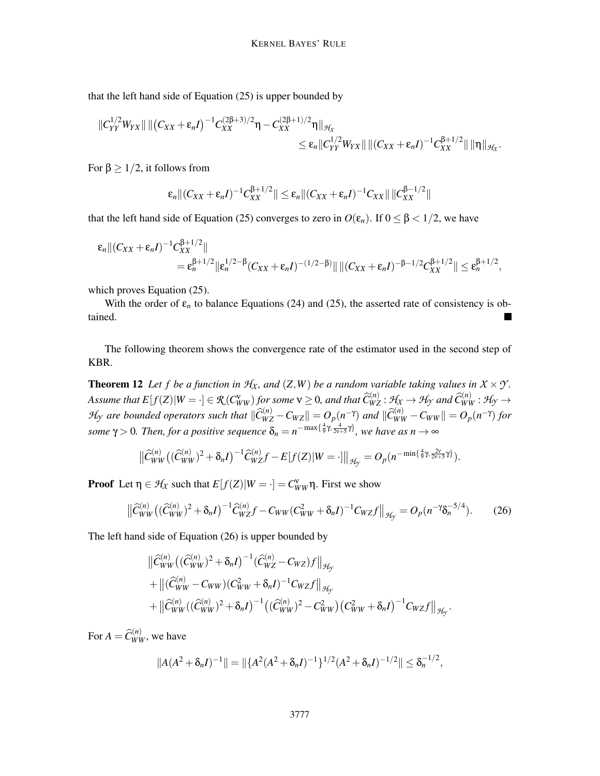that the left hand side of Equation (25) is upper bounded by

$$
||C_{YY}^{1/2}W_{YX}|| ||(C_{XX}+\varepsilon_n I)^{-1}C_{XX}^{(2\beta+3)/2}\eta-C_{XX}^{(2\beta+1)/2}\eta||_{\mathcal{H}_X}\leq \varepsilon_n||C_{YY}^{1/2}W_{YX}|| ||(C_{XX}+\varepsilon_n I)^{-1}C_{XX}^{\beta+1/2}|| \, ||\eta||_{\mathcal{H}_X}.
$$

For  $\beta \geq 1/2$ , it follows from

$$
\varepsilon_n\|(C_{XX}+\varepsilon_nI)^{-1}C_{XX}^{\beta+1/2}\|\leq \varepsilon_n\|(C_{XX}+\varepsilon_nI)^{-1}C_{XX}\|\|C_{XX}^{\beta-1/2}\|
$$

that the left hand side of Equation (25) converges to zero in  $O(\varepsilon_n)$ . If  $0 \le \beta < 1/2$ , we have

$$
\varepsilon_n \| (C_{XX} + \varepsilon_n I)^{-1} C_{XX}^{\beta + 1/2} \| \n= \varepsilon_n^{\beta + 1/2} \| \varepsilon_n^{1/2 - \beta} (C_{XX} + \varepsilon_n I)^{-(1/2 - \beta)} \| \| (C_{XX} + \varepsilon_n I)^{-\beta - 1/2} C_{XX}^{\beta + 1/2} \| \le \varepsilon_n^{\beta + 1/2},
$$

which proves Equation (25).

With the order of  $\varepsilon_n$  to balance Equations (24) and (25), the asserted rate of consistency is obtained.

The following theorem shows the convergence rate of the estimator used in the second step of KBR.

**Theorem 12** Let f be a function in  $H_X$ , and  $(Z, W)$  be a random variable taking values in  $X \times Y$ . Assume that  $E[f(Z)|W=\cdot]\in \mathcal{R}(C_{WW}^{\mathbf{v}})$  for some  $\mathbf{v}\geq 0$ , and that  $\widehat{C}_{WZ}^{(n)}:\mathcal{H}_X\to \mathcal{H}_Y$  and  $\widehat{C}_{WW}^{(n)}:\mathcal{H}_{\mathcal{Y}}\to \mathcal{H}_{\mathcal{Y}}$ H<sub>y</sub> are bounded operators such that  $\|\widehat C_{WZ}^{(n)} - C_{WZ}\| = O_p(n^{-\gamma})$  and  $\|\widehat C_{WW}^{(n)} - C_{WW}\| = O_p(n^{-\gamma})$  for *some*  $\gamma > 0$ *. Then, for a positive sequence*  $\delta_n = n^{-\max\{\frac{4}{9}\gamma, \frac{4}{2\gamma+5}\gamma\}}$ *, we have as*  $n \to \infty$ 

$$
\left\|\widehat{C}_{WW}^{(n)}\left((\widehat{C}_{WW}^{(n)})^2 + \delta_n I\right)^{-1} \widehat{C}_{WZ}^{(n)}f - E[f(Z)|W = \cdot]\right\|_{\mathcal{H}_{\mathcal{Y}}} = O_p(n^{-\min\{\frac{4}{9}\gamma,\frac{2\nu}{2\nu+5}\gamma\}}).
$$

**Proof** Let  $\eta \in \mathcal{H}_X$  such that  $E[f(Z)|W = \cdot] = C_{WW}^{\nu} \eta$ . First we show

$$
\left\| \widehat{C}_{WW}^{(n)} \left( (\widehat{C}_{WW}^{(n)})^2 + \delta_n I \right)^{-1} \widehat{C}_{WZ}^{(n)} f - C_{WW} (C_{WW}^2 + \delta_n I)^{-1} C_{WZ} f \right\|_{\mathcal{H}_{\mathcal{Y}}} = O_p(n^{-\gamma} \delta_n^{-5/4}). \tag{26}
$$

The left hand side of Equation (26) is upper bounded by

$$
\begin{aligned}\n&\left\|\widehat{C}_{WW}^{(n)}\left((\widehat{C}_{WW}^{(n)})^2 + \delta_n I\right)^{-1}(\widehat{C}_{WZ}^{(n)} - C_{WZ})f\right\|_{\mathcal{H}_{\mathcal{Y}}} \\
&+ \left\|\left(\widehat{C}_{WW}^{(n)} - C_{WW}\right)(C_{WW}^2 + \delta_n I)^{-1}C_{WZ}f\right\|_{\mathcal{H}_{\mathcal{Y}}} \\
&+ \left\|\widehat{C}_{WW}^{(n)}\left((\widehat{C}_{WW}^{(n)})^2 + \delta_n I\right)^{-1}\left((\widehat{C}_{WW}^{(n)})^2 - C_{WW}^2\right)(C_{WW}^2 + \delta_n I)^{-1}C_{WZ}f\right\|_{\mathcal{H}_{\mathcal{Y}}}.\n\end{aligned}
$$

For  $A = \widehat{C}_{WW}^{(n)}$ , we have

$$
||A(A^{2} + \delta_{n}I)^{-1}|| = ||\{A^{2}(A^{2} + \delta_{n}I)^{-1}\}^{1/2}(A^{2} + \delta_{n}I)^{-1/2}|| \leq \delta_{n}^{-1/2},
$$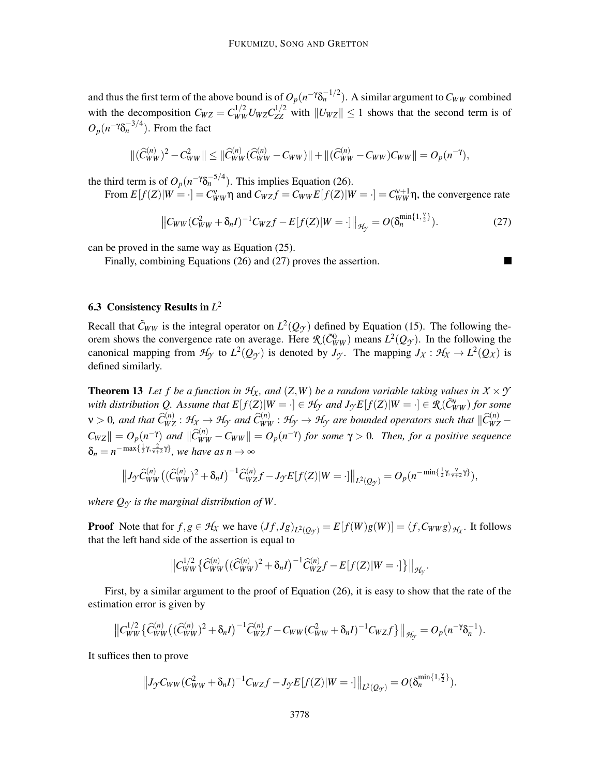and thus the first term of the above bound is of  $O_p(n^{-\gamma}\delta_n^{-1/2})$ . A similar argument to  $C_{WW}$  combined with the decomposition  $C_{WZ} = C_{WW}^{1/2} U_{WZ} C_{ZZ}^{1/2}$  with  $||U_{WZ}|| \le 1$  shows that the second term is of  $O_p(n^{-\gamma}δ_n^{-3/4})$ . From the fact

$$
\|(\widehat{C}_{WW}^{(n)})^2 - C_{WW}^2\| \leq \|\widehat{C}_{WW}^{(n)}(\widehat{C}_{WW}^{(n)} - C_{WW})\| + \|(\widehat{C}_{WW}^{(n)} - C_{WW})C_{WW}\| = O_p(n^{-\gamma}),
$$

the third term is of  $O_p(n^{-\gamma} \delta_n^{-5/4})$ . This implies Equation (26).

From  $E[f(Z)|W = \cdot] = C_{WW}^{\vee} \eta$  and  $C_{WZ}f = C_{WW}E[f(Z)|W = \cdot] = C_{WW}^{\vee+1} \eta$ , the convergence rate

$$
||C_{WW}(C_{WW}^2 + \delta_n I)^{-1}C_{WZ}f - E[f(Z)|W = \cdot]||_{\mathcal{H}_{\mathcal{Y}}} = O(\delta_n^{\min\{1,\frac{\nu}{2}\}}).
$$
\n(27)

can be proved in the same way as Equation (25).

Finally, combining Equations (26) and (27) proves the assertion.

# 6.3 Consistency Results in *L* 2

Recall that  $\tilde{C}_{WW}$  is the integral operator on  $L^2(Q_{\mathcal{Y}})$  defined by Equation (15). The following theorem shows the convergence rate on average. Here  $\mathcal{R}(\tilde{C}_{WW}^0)$  means  $L^2(Q_\mathcal{Y})$ . In the following the canonical mapping from  $H_Y$  to  $L^2(Q_Y)$  is denoted by  $J_Y$ . The mapping  $J_X : H_X \to L^2(Q_X)$  is defined similarly.

**Theorem 13** Let f be a function in  $H_X$ , and  $(Z, W)$  be a random variable taking values in  $X \times Y$ *with distribution Q. Assume that*  $E[f(Z)|W = \cdot] \in H_Y$  *and*  $J_YE[f(Z)|W = \cdot] \in R(\tilde{C}_{WW}^V)$  *for some*  $w>0$ , and that  $\widehat{C}_{WZ}^{(n)}:\mathcal{H}_X\to\mathcal{H}_Y$  and  $\widehat{C}_{WW}^{(n)}:\mathcal{H}_Y\to\mathcal{H}_Y$  are bounded operators such that  $\|\widehat{C}_{WZ}^{(n)}-C\|$  $C_{WZ}$   $\| = O_p(n^{-\gamma})$  *and*  $\|\widehat{C}_{WW}^{(n)} - C_{WW}\| = O_p(n^{-\gamma})$  *for some*  $\gamma > 0$ *. Then, for a positive sequence*  $\delta_n = n^{-\max\{\frac{1}{2}\gamma,\frac{2}{\gamma+2}\gamma\}}$ , we have as  $n \to \infty$ 

$$
||J_{\mathcal{Y}}\widehat{C}_{WW}^{(n)}((\widehat{C}_{WW}^{(n)})^{2}+\delta_{n}I)^{-1}\widehat{C}_{WZ}^{(n)}f-J_{\mathcal{Y}}E[f(Z)|W= \cdot]||_{L^{2}(Q_{\mathcal{Y}})}=O_{p}(n^{-\min\{\frac{1}{2}\gamma,\frac{v}{v+2}\gamma\}},
$$

*where*  $Q_{\gamma}$  *is the marginal distribution of W.* 

**Proof** Note that for  $f, g \in H_X$  we have  $(Jf, Jg)_{L^2(Q_Y)} = E[f(W)g(W)] = \langle f, C_{WW}g \rangle_{H_X}$ . It follows that the left hand side of the assertion is equal to

$$
||C_{WW}^{1/2}\{\hat{C}_{WW}^{(n)}((\hat{C}_{WW}^{(n)})^2+\delta_n I)^{-1}\hat{C}_{WZ}^{(n)}f-E[f(Z)|W= \cdot]\}||_{\mathcal{H}_{Y}}.
$$

First, by a similar argument to the proof of Equation (26), it is easy to show that the rate of the estimation error is given by

$$
\left\|C_{WW}^{1/2}\left\{\widehat{C}_{WW}^{(n)}\left((\widehat{C}_{WW}^{(n)})^2+\delta_nI\right)^{-1}\widehat{C}_{WZ}^{(n)}f-C_{WW}(C_{WW}^2+\delta_nI)^{-1}C_{WZ}f\right\}\right\|_{\mathcal{H}_{\mathcal{Y}}}=O_p(n^{-\gamma}\delta_n^{-1}).
$$

It suffices then to prove

$$
||J_{\gamma}C_{WW}(C_{WW}^2+\delta_n I)^{-1}C_{WZ}f-J_{\gamma}E[f(Z)|W= \cdot]||_{L^2(Q_{\gamma})}=O(\delta_n^{\min\{1,\frac{\nu}{2}\}}).
$$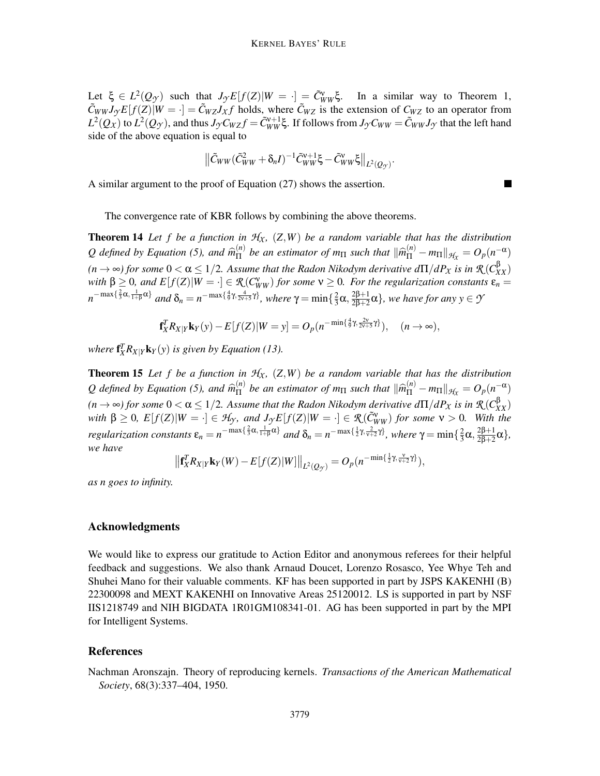Let  $\xi \in L^2(Q_{\mathcal{Y}})$  such that  $J_{\mathcal{Y}}E[f(Z)|W = \cdot] = \tilde{C}_{WW}^{\vee}\xi$ . In a similar way to Theorem 1,  $\tilde{C}_{WW}J_{\gamma}E[f(Z)]W = \cdot$  =  $\tilde{C}_{WZ}J_{\chi}f$  holds, where  $\tilde{C}_{WZ}$  is the extension of  $C_{WZ}$  to an operator from  $L^2(Q_X)$  to  $L^2(Q_{\mathcal{T}})$ , and thus  $J_{\mathcal{T}}C_{WZ}f = \tilde{C}_{WW}^{v+1}\xi$ . If follows from  $J_{\mathcal{T}}C_{WW} = \tilde{C}_{WW}J_{\mathcal{T}}$  that the left hand side of the above equation is equal to

$$
\left\|\tilde{C}_{WW}(\tilde{C}_{WW}^2+\delta_n I)^{-1}\tilde{C}_{WW}^{\nu+1}\xi-\tilde{C}_{WW}^{\nu}\xi\right\|_{L^2(Q_{\mathcal{F}})}.
$$

A similar argument to the proof of Equation (27) shows the assertion.

The convergence rate of KBR follows by combining the above theorems.

**Theorem 14** Let f be a function in  $H_X$ ,  $(Z, W)$  be a random variable that has the distribution Q defined by Equation (5), and  $\widehat{m}_{\Pi}^{(n)}$  $\lim_{\text{III}}$  *be an estimator of m*<sub>II</sub> *such that*  $\|\widehat{m}_{\text{II}}^{(n)} - m_{\text{II}}\|_{\mathcal{H}_X} = O_p(n^{-\alpha})$  $(n \to \infty)$  for some  $0 < \alpha \leq 1/2$ . Assume that the Radon Nikodym derivative  $d\Pi/dP_X$  is in  $\mathcal{R}(C_{XX}^{\beta})$ *with*  $\beta \geq 0$ , and  $E[f(Z)|W = \cdot] \in \mathcal{R}(C_{WW}^{\vee})$  for some  $\nu \geq 0$ . For the regularization constants  $\varepsilon_n =$  $n^{-\max\{\frac{2}{3}\alpha,\frac{1}{1+\beta}\alpha\}}$  and  $\delta_n = n^{-\max\{\frac{4}{9}\gamma,\frac{4}{2\gamma+5}\gamma\}}$ , where  $\gamma = \min\{\frac{2}{3}$  $\frac{2}{3}$ α,  $\frac{2\beta+1}{2\beta+2}$  $\frac{2\beta+1}{2\beta+2}$ α}*, we have for any y* ∈ *Y* 

$$
\mathbf{f}_X^T R_{X|Y} \mathbf{k}_Y(y) - E[f(Z)|W = y] = O_p(n^{-\min\{\frac{4}{9}\gamma, \frac{2v}{2v+5}\gamma\}}), \quad (n \to \infty),
$$

where  $f_X^T R_{X|Y} k_Y(y)$  is given by Equation (13).

**Theorem 15** Let f be a function in  $H_X$ ,  $(Z, W)$  be a random variable that has the distribution Q defined by Equation (5), and  $\widehat{m}_{\Pi}^{(n)}$  $\lim_{\text{H}} \int_{0}^{(n)} e^{in}$  *be an estimator of m*<sub>II</sub> *such that*  $\|\widehat{m}_{\text{H}}^{(n)} - m_{\text{H}}\|_{\mathcal{H}_X} = O_p(n^{-\alpha})$  $(n \to \infty)$  for some  $0 < \alpha \leq 1/2$ . Assume that the Radon Nikodym derivative  $d\Pi/dP_X$  is in  $\mathcal{R}(C_{XX}^{\beta})$ *with*  $\beta \geq 0$ ,  $E[f(Z)|W = \cdot] \in \mathcal{H}_{\mathcal{Y}}$ , and  $J_{\mathcal{Y}}E[f(Z)|W = \cdot] \in \mathcal{R}(\tilde{C}_{WW}^{\vee})$  for some  $\nu > 0$ . With the *regularization constants*  $\varepsilon_n = n^{-\max\{\frac{2}{3}\alpha, \frac{1}{1+\beta}\alpha\}}$  *and*  $\delta_n = n^{-\max\{\frac{1}{2}\gamma, \frac{2}{\gamma+2}\gamma\}}$ *, where*  $\gamma = \min\{\frac{2}{3}$  $\frac{2}{3}$ α,  $\frac{2\beta+1}{2\beta+2}$  $\frac{2p+1}{2\beta+2}\alpha\},\,$ *we have*

$$
\left\| \mathbf{f}_X^T R_{X|Y} \mathbf{k}_Y(W) - E[f(Z)|W] \right\|_{L^2(Q_{\mathcal{Y}})} = O_p(n^{-\min\{\frac{1}{2}\gamma,\frac{\mathbf{V}}{\mathbf{V}+\mathbf{Z}}\gamma\}}),
$$

*as n goes to infinity.*

#### Acknowledgments

We would like to express our gratitude to Action Editor and anonymous referees for their helpful feedback and suggestions. We also thank Arnaud Doucet, Lorenzo Rosasco, Yee Whye Teh and Shuhei Mano for their valuable comments. KF has been supported in part by JSPS KAKENHI (B) 22300098 and MEXT KAKENHI on Innovative Areas 25120012. LS is supported in part by NSF IIS1218749 and NIH BIGDATA 1R01GM108341-01. AG has been supported in part by the MPI for Intelligent Systems.

#### References

Nachman Aronszajn. Theory of reproducing kernels. *Transactions of the American Mathematical Society*, 68(3):337–404, 1950.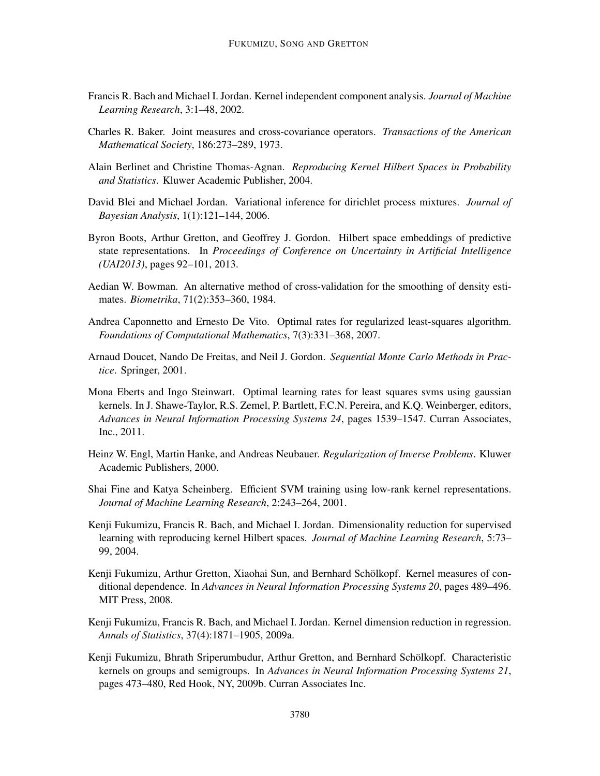- Francis R. Bach and Michael I. Jordan. Kernel independent component analysis. *Journal of Machine Learning Research*, 3:1–48, 2002.
- Charles R. Baker. Joint measures and cross-covariance operators. *Transactions of the American Mathematical Society*, 186:273–289, 1973.
- Alain Berlinet and Christine Thomas-Agnan. *Reproducing Kernel Hilbert Spaces in Probability and Statistics*. Kluwer Academic Publisher, 2004.
- David Blei and Michael Jordan. Variational inference for dirichlet process mixtures. *Journal of Bayesian Analysis*, 1(1):121–144, 2006.
- Byron Boots, Arthur Gretton, and Geoffrey J. Gordon. Hilbert space embeddings of predictive state representations. In *Proceedings of Conference on Uncertainty in Artificial Intelligence (UAI2013)*, pages 92–101, 2013.
- Aedian W. Bowman. An alternative method of cross-validation for the smoothing of density estimates. *Biometrika*, 71(2):353–360, 1984.
- Andrea Caponnetto and Ernesto De Vito. Optimal rates for regularized least-squares algorithm. *Foundations of Computational Mathematics*, 7(3):331–368, 2007.
- Arnaud Doucet, Nando De Freitas, and Neil J. Gordon. *Sequential Monte Carlo Methods in Practice*. Springer, 2001.
- Mona Eberts and Ingo Steinwart. Optimal learning rates for least squares svms using gaussian kernels. In J. Shawe-Taylor, R.S. Zemel, P. Bartlett, F.C.N. Pereira, and K.Q. Weinberger, editors, *Advances in Neural Information Processing Systems 24*, pages 1539–1547. Curran Associates, Inc., 2011.
- Heinz W. Engl, Martin Hanke, and Andreas Neubauer. *Regularization of Inverse Problems*. Kluwer Academic Publishers, 2000.
- Shai Fine and Katya Scheinberg. Efficient SVM training using low-rank kernel representations. *Journal of Machine Learning Research*, 2:243–264, 2001.
- Kenji Fukumizu, Francis R. Bach, and Michael I. Jordan. Dimensionality reduction for supervised learning with reproducing kernel Hilbert spaces. *Journal of Machine Learning Research*, 5:73– 99, 2004.
- Kenji Fukumizu, Arthur Gretton, Xiaohai Sun, and Bernhard Schölkopf. Kernel measures of conditional dependence. In *Advances in Neural Information Processing Systems 20*, pages 489–496. MIT Press, 2008.
- Kenji Fukumizu, Francis R. Bach, and Michael I. Jordan. Kernel dimension reduction in regression. *Annals of Statistics*, 37(4):1871–1905, 2009a.
- Kenji Fukumizu, Bhrath Sriperumbudur, Arthur Gretton, and Bernhard Scholkopf. Characteristic ¨ kernels on groups and semigroups. In *Advances in Neural Information Processing Systems 21*, pages 473–480, Red Hook, NY, 2009b. Curran Associates Inc.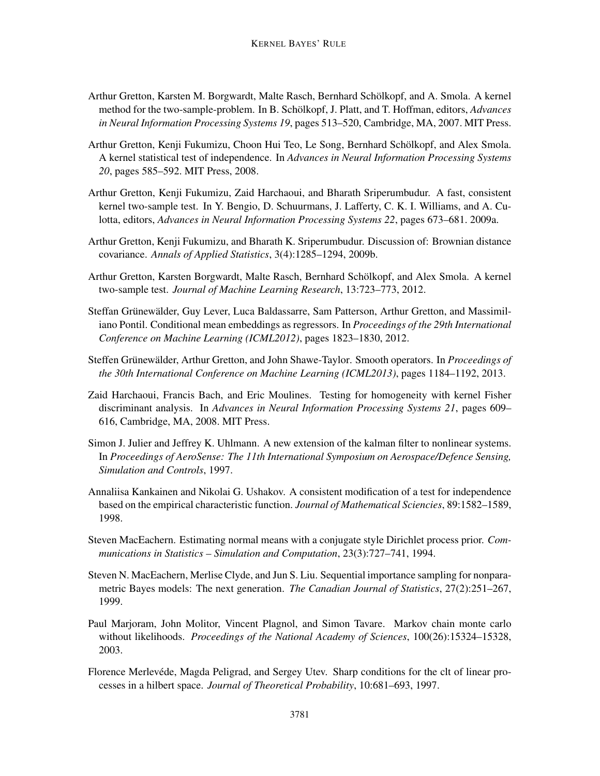- Arthur Gretton, Karsten M. Borgwardt, Malte Rasch, Bernhard Scholkopf, and A. Smola. A kernel ¨ method for the two-sample-problem. In B. Schölkopf, J. Platt, and T. Hoffman, editors, *Advances in Neural Information Processing Systems 19*, pages 513–520, Cambridge, MA, 2007. MIT Press.
- Arthur Gretton, Kenji Fukumizu, Choon Hui Teo, Le Song, Bernhard Scholkopf, and Alex Smola. ¨ A kernel statistical test of independence. In *Advances in Neural Information Processing Systems 20*, pages 585–592. MIT Press, 2008.
- Arthur Gretton, Kenji Fukumizu, Zaid Harchaoui, and Bharath Sriperumbudur. A fast, consistent kernel two-sample test. In Y. Bengio, D. Schuurmans, J. Lafferty, C. K. I. Williams, and A. Culotta, editors, *Advances in Neural Information Processing Systems 22*, pages 673–681. 2009a.
- Arthur Gretton, Kenji Fukumizu, and Bharath K. Sriperumbudur. Discussion of: Brownian distance covariance. *Annals of Applied Statistics*, 3(4):1285–1294, 2009b.
- Arthur Gretton, Karsten Borgwardt, Malte Rasch, Bernhard Scholkopf, and Alex Smola. A kernel ¨ two-sample test. *Journal of Machine Learning Research*, 13:723–773, 2012.
- Steffan Grünewälder, Guy Lever, Luca Baldassarre, Sam Patterson, Arthur Gretton, and Massimiliano Pontil. Conditional mean embeddings as regressors. In *Proceedings of the 29th International Conference on Machine Learning (ICML2012)*, pages 1823–1830, 2012.
- Steffen Grünewälder, Arthur Gretton, and John Shawe-Taylor. Smooth operators. In *Proceedings of the 30th International Conference on Machine Learning (ICML2013)*, pages 1184–1192, 2013.
- Zaid Harchaoui, Francis Bach, and Eric Moulines. Testing for homogeneity with kernel Fisher discriminant analysis. In *Advances in Neural Information Processing Systems 21*, pages 609– 616, Cambridge, MA, 2008. MIT Press.
- Simon J. Julier and Jeffrey K. Uhlmann. A new extension of the kalman filter to nonlinear systems. In *Proceedings of AeroSense: The 11th International Symposium on Aerospace/Defence Sensing, Simulation and Controls*, 1997.
- Annaliisa Kankainen and Nikolai G. Ushakov. A consistent modification of a test for independence based on the empirical characteristic function. *Journal of Mathematical Sciencies*, 89:1582–1589, 1998.
- Steven MacEachern. Estimating normal means with a conjugate style Dirichlet process prior. *Communications in Statistics – Simulation and Computation*, 23(3):727–741, 1994.
- Steven N. MacEachern, Merlise Clyde, and Jun S. Liu. Sequential importance sampling for nonparametric Bayes models: The next generation. *The Canadian Journal of Statistics*, 27(2):251–267, 1999.
- Paul Marjoram, John Molitor, Vincent Plagnol, and Simon Tavare. Markov chain monte carlo without likelihoods. *Proceedings of the National Academy of Sciences*, 100(26):15324–15328, 2003.
- Florence Merlevéde, Magda Peligrad, and Sergey Utev. Sharp conditions for the clt of linear processes in a hilbert space. *Journal of Theoretical Probability*, 10:681–693, 1997.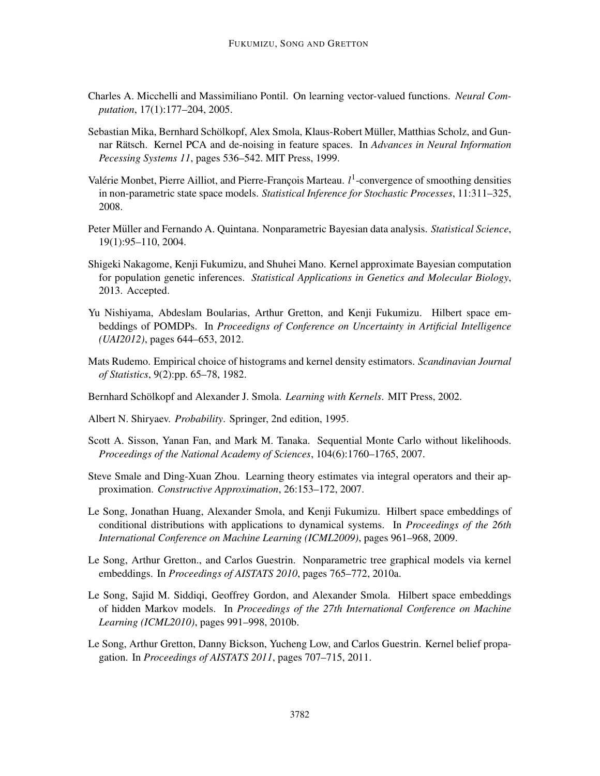- Charles A. Micchelli and Massimiliano Pontil. On learning vector-valued functions. *Neural Computation*, 17(1):177–204, 2005.
- Sebastian Mika, Bernhard Schölkopf, Alex Smola, Klaus-Robert Müller, Matthias Scholz, and Gunnar Rätsch. Kernel PCA and de-noising in feature spaces. In *Advances in Neural Information Pecessing Systems 11*, pages 536–542. MIT Press, 1999.
- Valérie Monbet, Pierre Ailliot, and Pierre-François Marteau.  $l<sup>1</sup>$ -convergence of smoothing densities in non-parametric state space models. *Statistical Inference for Stochastic Processes*, 11:311–325, 2008.
- Peter Müller and Fernando A. Quintana. Nonparametric Bayesian data analysis. *Statistical Science*, 19(1):95–110, 2004.
- Shigeki Nakagome, Kenji Fukumizu, and Shuhei Mano. Kernel approximate Bayesian computation for population genetic inferences. *Statistical Applications in Genetics and Molecular Biology*, 2013. Accepted.
- Yu Nishiyama, Abdeslam Boularias, Arthur Gretton, and Kenji Fukumizu. Hilbert space embeddings of POMDPs. In *Proceedigns of Conference on Uncertainty in Artificial Intelligence (UAI2012)*, pages 644–653, 2012.
- Mats Rudemo. Empirical choice of histograms and kernel density estimators. *Scandinavian Journal of Statistics*, 9(2):pp. 65–78, 1982.
- Bernhard Schölkopf and Alexander J. Smola. *Learning with Kernels*. MIT Press, 2002.
- Albert N. Shiryaev. *Probability*. Springer, 2nd edition, 1995.
- Scott A. Sisson, Yanan Fan, and Mark M. Tanaka. Sequential Monte Carlo without likelihoods. *Proceedings of the National Academy of Sciences*, 104(6):1760–1765, 2007.
- Steve Smale and Ding-Xuan Zhou. Learning theory estimates via integral operators and their approximation. *Constructive Approximation*, 26:153–172, 2007.
- Le Song, Jonathan Huang, Alexander Smola, and Kenji Fukumizu. Hilbert space embeddings of conditional distributions with applications to dynamical systems. In *Proceedings of the 26th International Conference on Machine Learning (ICML2009)*, pages 961–968, 2009.
- Le Song, Arthur Gretton., and Carlos Guestrin. Nonparametric tree graphical models via kernel embeddings. In *Proceedings of AISTATS 2010*, pages 765–772, 2010a.
- Le Song, Sajid M. Siddiqi, Geoffrey Gordon, and Alexander Smola. Hilbert space embeddings of hidden Markov models. In *Proceedings of the 27th International Conference on Machine Learning (ICML2010)*, pages 991–998, 2010b.
- Le Song, Arthur Gretton, Danny Bickson, Yucheng Low, and Carlos Guestrin. Kernel belief propagation. In *Proceedings of AISTATS 2011*, pages 707–715, 2011.